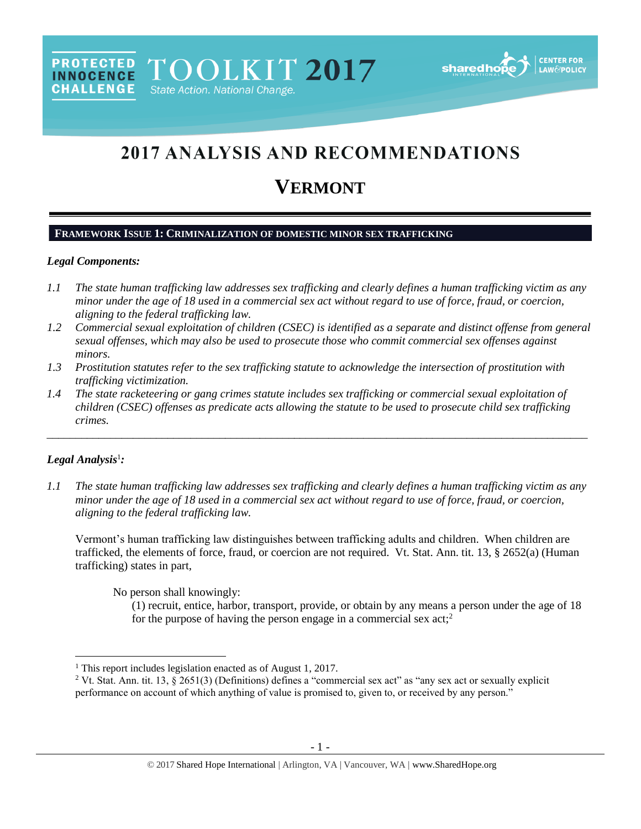

# **2017 ANALYSIS AND RECOMMENDATIONS**

# **VERMONT**

# **FRAMEWORK ISSUE 1: CRIMINALIZATION OF DOMESTIC MINOR SEX TRAFFICKING**

# *Legal Components:*

**PROTECTED** 

**INNOCENCE CHALLENGE** 

- *1.1 The state human trafficking law addresses sex trafficking and clearly defines a human trafficking victim as any minor under the age of 18 used in a commercial sex act without regard to use of force, fraud, or coercion, aligning to the federal trafficking law.*
- *1.2 Commercial sexual exploitation of children (CSEC) is identified as a separate and distinct offense from general sexual offenses, which may also be used to prosecute those who commit commercial sex offenses against minors.*
- *1.3 Prostitution statutes refer to the sex trafficking statute to acknowledge the intersection of prostitution with trafficking victimization.*
- *1.4 The state racketeering or gang crimes statute includes sex trafficking or commercial sexual exploitation of children (CSEC) offenses as predicate acts allowing the statute to be used to prosecute child sex trafficking crimes.*

\_\_\_\_\_\_\_\_\_\_\_\_\_\_\_\_\_\_\_\_\_\_\_\_\_\_\_\_\_\_\_\_\_\_\_\_\_\_\_\_\_\_\_\_\_\_\_\_\_\_\_\_\_\_\_\_\_\_\_\_\_\_\_\_\_\_\_\_\_\_\_\_\_\_\_\_\_\_\_\_\_\_\_\_\_\_\_\_\_\_\_\_\_\_

# *Legal Analysis*<sup>1</sup> *:*

 $\overline{a}$ 

*1.1 The state human trafficking law addresses sex trafficking and clearly defines a human trafficking victim as any minor under the age of 18 used in a commercial sex act without regard to use of force, fraud, or coercion, aligning to the federal trafficking law.* 

Vermont's human trafficking law distinguishes between trafficking adults and children. When children are trafficked, the elements of force, fraud, or coercion are not required. Vt. Stat. Ann. tit. 13, § 2652(a) (Human trafficking) states in part,

No person shall knowingly:

<span id="page-0-0"></span>(1) recruit, entice, harbor, transport, provide, or obtain by any means a person under the age of 18 for the purpose of having the person engage in a commercial sex  $act<sub>i</sub><sup>2</sup>$ 

<sup>&</sup>lt;sup>1</sup> This report includes legislation enacted as of August 1, 2017.

<sup>&</sup>lt;sup>2</sup> Vt. Stat. Ann. tit. 13, § 2651(3) (Definitions) defines a "commercial sex act" as "any sex act or sexually explicit performance on account of which anything of value is promised to, given to, or received by any person."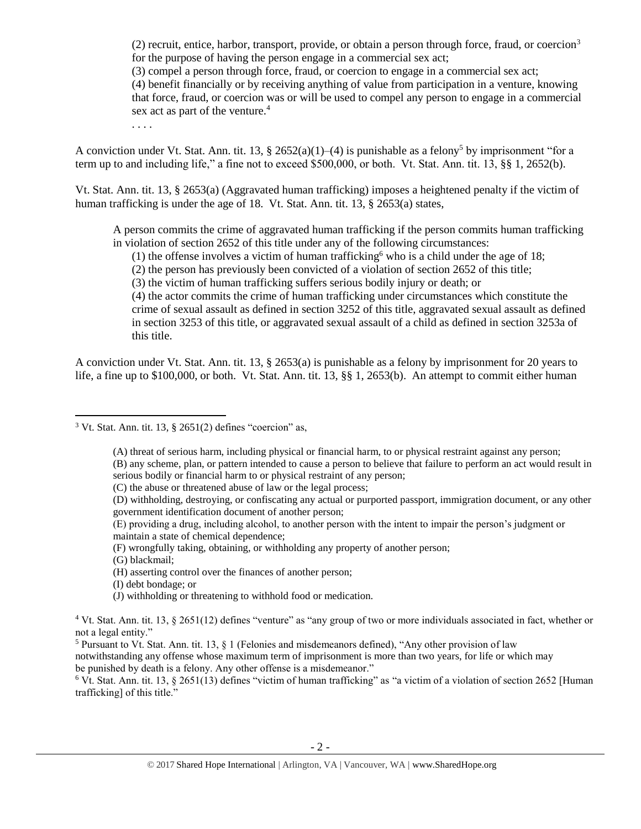(2) recruit, entice, harbor, transport, provide, or obtain a person through force, fraud, or coercion<sup>3</sup> for the purpose of having the person engage in a commercial sex act;

(3) compel a person through force, fraud, or coercion to engage in a commercial sex act;

(4) benefit financially or by receiving anything of value from participation in a venture, knowing that force, fraud, or coercion was or will be used to compel any person to engage in a commercial sex act as part of the venture.<sup>4</sup>

. . . .

A conviction under Vt. Stat. Ann. tit. 13, § 2652(a)(1)–(4) is punishable as a felony<sup>5</sup> by imprisonment "for a term up to and including life," a fine not to exceed \$500,000, or both. Vt. Stat. Ann. tit. 13, §§ 1, 2652(b).

Vt. Stat. Ann. tit. 13, § 2653(a) (Aggravated human trafficking) imposes a heightened penalty if the victim of human trafficking is under the age of 18. Vt. Stat. Ann. tit. 13, § 2653(a) states,

A person commits the crime of aggravated human trafficking if the person commits human trafficking in violation of section 2652 of this title under any of the following circumstances:

<span id="page-1-0"></span>(1) the offense involves a victim of human trafficking who is a child under the age of 18;

(2) the person has previously been convicted of a violation of section 2652 of this title;

(3) the victim of human trafficking suffers serious bodily injury or death; or

(4) the actor commits the crime of human trafficking under circumstances which constitute the crime of sexual assault as defined in section 3252 of this title, aggravated sexual assault as defined in section 3253 of this title, or aggravated sexual assault of a child as defined in section 3253a of this title.

A conviction under Vt. Stat. Ann. tit. 13, § 2653(a) is punishable as a felony by imprisonment for 20 years to life, a fine up to \$100,000, or both. Vt. Stat. Ann. tit. 13, §§ 1, 2653(b). An attempt to commit either human

(A) threat of serious harm, including physical or financial harm, to or physical restraint against any person; (B) any scheme, plan, or pattern intended to cause a person to believe that failure to perform an act would result in serious bodily or financial harm to or physical restraint of any person;

- (E) providing a drug, including alcohol, to another person with the intent to impair the person's judgment or maintain a state of chemical dependence;
- (F) wrongfully taking, obtaining, or withholding any property of another person;

(G) blackmail;

 $\overline{\phantom{a}}$ 

- (I) debt bondage; or
- (J) withholding or threatening to withhold food or medication.

<sup>5</sup> Pursuant to Vt. Stat. Ann. tit. 13,  $\S$  1 (Felonies and misdemeanors defined), "Any other provision of law

notwithstanding any offense whose maximum term of imprisonment is more than two years, for life or which may be punished by death is a felony. Any other offense is a misdemeanor."

 $6$  Vt. Stat. Ann. tit. 13, § 2651(13) defines "victim of human trafficking" as "a victim of a violation of section 2652 [Human] trafficking] of this title."

 $3$  Vt. Stat. Ann. tit. 13,  $\S$  2651(2) defines "coercion" as,

<sup>(</sup>C) the abuse or threatened abuse of law or the legal process;

<sup>(</sup>D) withholding, destroying, or confiscating any actual or purported passport, immigration document, or any other government identification document of another person;

<sup>(</sup>H) asserting control over the finances of another person;

<sup>4</sup> Vt. Stat. Ann. tit. 13, § 2651(12) defines "venture" as "any group of two or more individuals associated in fact, whether or not a legal entity."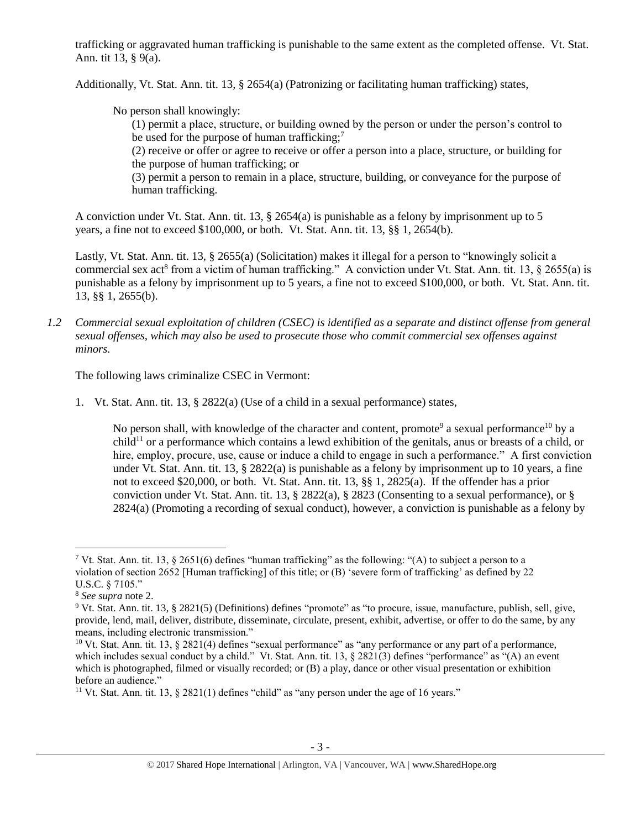trafficking or aggravated human trafficking is punishable to the same extent as the completed offense. Vt. Stat. Ann. tit 13, § 9(a).

Additionally, Vt. Stat. Ann. tit. 13, § 2654(a) (Patronizing or facilitating human trafficking) states,

No person shall knowingly:

(1) permit a place, structure, or building owned by the person or under the person's control to be used for the purpose of human trafficking;<sup>7</sup>

(2) receive or offer or agree to receive or offer a person into a place, structure, or building for the purpose of human trafficking; or

(3) permit a person to remain in a place, structure, building, or conveyance for the purpose of human trafficking.

A conviction under Vt. Stat. Ann. tit. 13, § 2654(a) is punishable as a felony by imprisonment up to 5 years, a fine not to exceed \$100,000, or both. Vt. Stat. Ann. tit. 13, §§ 1, 2654(b).

Lastly, Vt. Stat. Ann. tit. 13, § 2655(a) (Solicitation) makes it illegal for a person to "knowingly solicit a commercial sex act<sup>8</sup> from a victim of human trafficking." A conviction under Vt. Stat. Ann. tit. 13,  $\S$  2655(a) is punishable as a felony by imprisonment up to 5 years, a fine not to exceed \$100,000, or both. Vt. Stat. Ann. tit. 13, §§ 1, 2655(b).

*1.2 Commercial sexual exploitation of children (CSEC) is identified as a separate and distinct offense from general sexual offenses, which may also be used to prosecute those who commit commercial sex offenses against minors.*

The following laws criminalize CSEC in Vermont:

1. Vt. Stat. Ann. tit. 13, § 2822(a) (Use of a child in a sexual performance) states,

<span id="page-2-1"></span><span id="page-2-0"></span>No person shall, with knowledge of the character and content, promote<sup>9</sup> a sexual performance<sup>10</sup> by a  $child<sup>11</sup>$  or a performance which contains a lewd exhibition of the genitals, anus or breasts of a child, or hire, employ, procure, use, cause or induce a child to engage in such a performance." A first conviction under Vt. Stat. Ann. tit. 13,  $\S 2822(a)$  is punishable as a felony by imprisonment up to 10 years, a fine not to exceed \$20,000, or both. Vt. Stat. Ann. tit. 13, §§ 1, 2825(a). If the offender has a prior conviction under Vt. Stat. Ann. tit. 13, § 2822(a), § 2823 (Consenting to a sexual performance), or § 2824(a) (Promoting a recording of sexual conduct), however, a conviction is punishable as a felony by

<sup>&</sup>lt;sup>7</sup> Vt. Stat. Ann. tit. 13, § 2651(6) defines "human trafficking" as the following: "(A) to subject a person to a violation of section 2652 [Human trafficking] of this title; or (B) 'severe form of trafficking' as defined by 22 U.S.C. § 7105."

<sup>8</sup> *See supra* note [2.](#page-0-0)

<sup>9</sup> Vt. Stat. Ann. tit. 13, § 2821(5) (Definitions) defines "promote" as "to procure, issue, manufacture, publish, sell, give, provide, lend, mail, deliver, distribute, disseminate, circulate, present, exhibit, advertise, or offer to do the same, by any means, including electronic transmission."

 $10$  Vt. Stat. Ann. tit. 13,  $\S 2821(4)$  defines "sexual performance" as "any performance or any part of a performance, which includes sexual conduct by a child." Vt. Stat. Ann. tit. 13, § 2821(3) defines "performance" as "(A) an event which is photographed, filmed or visually recorded; or (B) a play, dance or other visual presentation or exhibition before an audience."

<sup>&</sup>lt;sup>11</sup> Vt. Stat. Ann. tit. 13,  $\S 2821(1)$  defines "child" as "any person under the age of 16 years."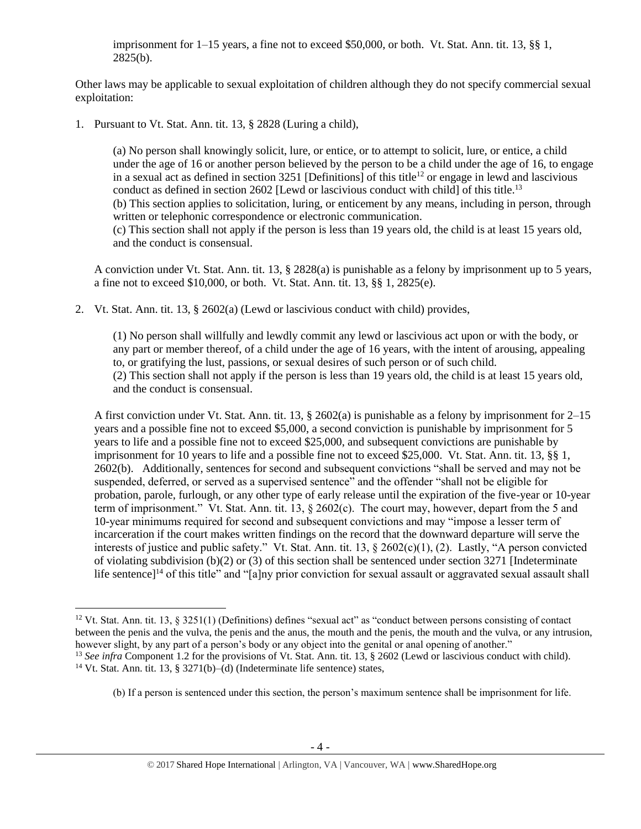imprisonment for 1–15 years, a fine not to exceed \$50,000, or both. Vt. Stat. Ann. tit. 13, §§ 1,  $2825(b)$ .

Other laws may be applicable to sexual exploitation of children although they do not specify commercial sexual exploitation:

1. Pursuant to Vt. Stat. Ann. tit. 13, § 2828 (Luring a child),

<span id="page-3-0"></span>(a) No person shall knowingly solicit, lure, or entice, or to attempt to solicit, lure, or entice, a child under the age of 16 or another person believed by the person to be a child under the age of 16, to engage in a sexual act as defined in section 3251 [Definitions] of this title<sup>12</sup> or engage in lewd and lascivious conduct as defined in section 2602 [Lewd or lascivious conduct with child] of this title.<sup>13</sup> (b) This section applies to solicitation, luring, or enticement by any means, including in person, through written or telephonic correspondence or electronic communication. (c) This section shall not apply if the person is less than 19 years old, the child is at least 15 years old, and the conduct is consensual.

A conviction under Vt. Stat. Ann. tit. 13, § 2828(a) is punishable as a felony by imprisonment up to 5 years, a fine not to exceed \$10,000, or both. Vt. Stat. Ann. tit. 13, §§ 1, 2825(e).

2. Vt. Stat. Ann. tit. 13, § 2602(a) (Lewd or lascivious conduct with child) provides,

(1) No person shall willfully and lewdly commit any lewd or lascivious act upon or with the body, or any part or member thereof, of a child under the age of 16 years, with the intent of arousing, appealing to, or gratifying the lust, passions, or sexual desires of such person or of such child. (2) This section shall not apply if the person is less than 19 years old, the child is at least 15 years old, and the conduct is consensual.

A first conviction under Vt. Stat. Ann. tit. 13, § 2602(a) is punishable as a felony by imprisonment for 2–15 years and a possible fine not to exceed \$5,000, a second conviction is punishable by imprisonment for 5 years to life and a possible fine not to exceed \$25,000, and subsequent convictions are punishable by imprisonment for 10 years to life and a possible fine not to exceed \$25,000. Vt. Stat. Ann. tit. 13, §§ 1, 2602(b). Additionally, sentences for second and subsequent convictions "shall be served and may not be suspended, deferred, or served as a supervised sentence" and the offender "shall not be eligible for probation, parole, furlough, or any other type of early release until the expiration of the five-year or 10-year term of imprisonment." Vt. Stat. Ann. tit. 13, § 2602(c). The court may, however, depart from the 5 and 10-year minimums required for second and subsequent convictions and may "impose a lesser term of incarceration if the court makes written findings on the record that the downward departure will serve the interests of justice and public safety." Vt. Stat. Ann. tit. 13, § 2602(c)(1), (2). Lastly, "A person convicted of violating subdivision (b)(2) or (3) of this section shall be sentenced under section 3271 [Indeterminate life sentence]<sup>14</sup> of this title" and "[a]ny prior conviction for sexual assault or aggravated sexual assault shall

l

 $12$  Vt. Stat. Ann. tit. 13, § 3251(1) (Definitions) defines "sexual act" as "conduct between persons consisting of contact between the penis and the vulva, the penis and the anus, the mouth and the penis, the mouth and the vulva, or any intrusion, however slight, by any part of a person's body or any object into the genital or anal opening of another." <sup>13</sup> *See infra* Component 1.2 for the provisions of Vt. Stat. Ann. tit. 13, § 2602 (Lewd or lascivious conduct with child).

<sup>&</sup>lt;sup>14</sup> Vt. Stat. Ann. tit. 13, § 3271(b)–(d) (Indeterminate life sentence) states,

<sup>(</sup>b) If a person is sentenced under this section, the person's maximum sentence shall be imprisonment for life.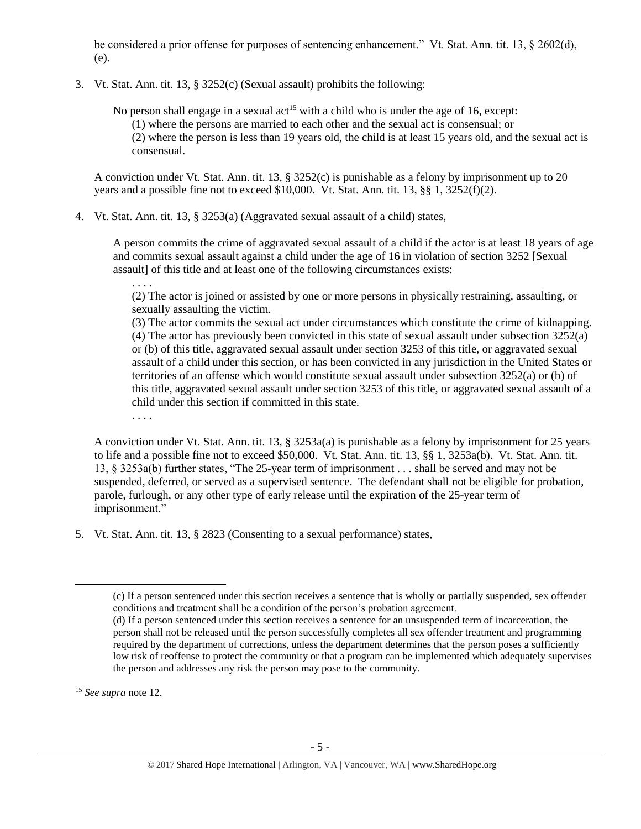be considered a prior offense for purposes of sentencing enhancement." Vt. Stat. Ann. tit. 13, § 2602(d), (e).

3. Vt. Stat. Ann. tit. 13, § 3252(c) (Sexual assault) prohibits the following:

No person shall engage in a sexual act<sup>15</sup> with a child who is under the age of 16, except: (1) where the persons are married to each other and the sexual act is consensual; or (2) where the person is less than 19 years old, the child is at least 15 years old, and the sexual act is consensual.

A conviction under Vt. Stat. Ann. tit. 13, § 3252(c) is punishable as a felony by imprisonment up to 20 years and a possible fine not to exceed \$10,000. Vt. Stat. Ann. tit. 13,  $\S$ § 1, 3252(f)(2).

4. Vt. Stat. Ann. tit. 13, § 3253(a) (Aggravated sexual assault of a child) states,

A person commits the crime of aggravated sexual assault of a child if the actor is at least 18 years of age and commits sexual assault against a child under the age of 16 in violation of section 3252 [Sexual assault] of this title and at least one of the following circumstances exists:

. . . .

(2) The actor is joined or assisted by one or more persons in physically restraining, assaulting, or sexually assaulting the victim.

(3) The actor commits the sexual act under circumstances which constitute the crime of kidnapping. (4) The actor has previously been convicted in this state of sexual assault under subsection 3252(a) or (b) of this title, aggravated sexual assault under section 3253 of this title, or aggravated sexual assault of a child under this section, or has been convicted in any jurisdiction in the United States or territories of an offense which would constitute sexual assault under subsection 3252(a) or (b) of this title, aggravated sexual assault under section 3253 of this title, or aggravated sexual assault of a child under this section if committed in this state.

. . . .

A conviction under Vt. Stat. Ann. tit. 13, § 3253a(a) is punishable as a felony by imprisonment for 25 years to life and a possible fine not to exceed \$50,000. Vt. Stat. Ann. tit. 13, §§ 1, 3253a(b). Vt. Stat. Ann. tit. 13, § 3253a(b) further states, "The 25-year term of imprisonment . . . shall be served and may not be suspended, deferred, or served as a supervised sentence. The defendant shall not be eligible for probation, parole, furlough, or any other type of early release until the expiration of the 25-year term of imprisonment."

5. Vt. Stat. Ann. tit. 13, § 2823 (Consenting to a sexual performance) states,

<sup>15</sup> *See supra* note [12.](#page-3-0) 

<sup>(</sup>c) If a person sentenced under this section receives a sentence that is wholly or partially suspended, sex offender conditions and treatment shall be a condition of the person's probation agreement.

<sup>(</sup>d) If a person sentenced under this section receives a sentence for an unsuspended term of incarceration, the person shall not be released until the person successfully completes all sex offender treatment and programming required by the department of corrections, unless the department determines that the person poses a sufficiently low risk of reoffense to protect the community or that a program can be implemented which adequately supervises the person and addresses any risk the person may pose to the community.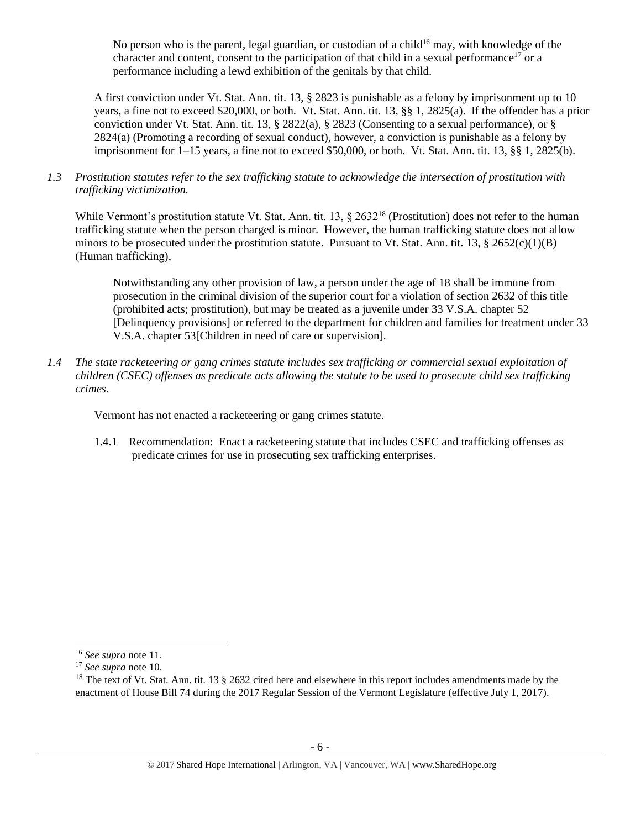No person who is the parent, legal guardian, or custodian of a child<sup>16</sup> may, with knowledge of the character and content, consent to the participation of that child in a sexual performance<sup>17</sup> or a performance including a lewd exhibition of the genitals by that child.

A first conviction under Vt. Stat. Ann. tit. 13, § 2823 is punishable as a felony by imprisonment up to 10 years, a fine not to exceed \$20,000, or both. Vt. Stat. Ann. tit. 13, §§ 1, 2825(a). If the offender has a prior conviction under Vt. Stat. Ann. tit. 13,  $\S$  2822(a),  $\S$  2823 (Consenting to a sexual performance), or  $\S$ 2824(a) (Promoting a recording of sexual conduct), however, a conviction is punishable as a felony by imprisonment for  $1-15$  years, a fine not to exceed \$50,000, or both. Vt. Stat. Ann. tit. 13, §§ 1, 2825(b).

*1.3 Prostitution statutes refer to the sex trafficking statute to acknowledge the intersection of prostitution with trafficking victimization.* 

While Vermont's prostitution statute Vt. Stat. Ann. tit. 13, § 2632<sup>18</sup> (Prostitution) does not refer to the human trafficking statute when the person charged is minor. However, the human trafficking statute does not allow minors to be prosecuted under the prostitution statute. Pursuant to Vt. Stat. Ann. tit. 13,  $\S 2652(c)(1)(B)$ (Human trafficking),

<span id="page-5-0"></span>Notwithstanding any other provision of law, a person under the age of 18 shall be immune from prosecution in the criminal division of the superior court for a violation of section 2632 of this title (prohibited acts; prostitution), but may be treated as a juvenile under 33 V.S.A. chapter 52 [Delinquency provisions] or referred to the department for children and families for treatment under 33 V.S.A. chapter 53[Children in need of care or supervision].

*1.4 The state racketeering or gang crimes statute includes sex trafficking or commercial sexual exploitation of children (CSEC) offenses as predicate acts allowing the statute to be used to prosecute child sex trafficking crimes.* 

Vermont has not enacted a racketeering or gang crimes statute.

1.4.1 Recommendation: Enact a racketeering statute that includes CSEC and trafficking offenses as predicate crimes for use in prosecuting sex trafficking enterprises.

 $\overline{a}$ 

<sup>16</sup> *See supra* note [11.](#page-2-0) 

<sup>17</sup> *See supra* note [10.](#page-2-1) 

<sup>&</sup>lt;sup>18</sup> The text of Vt. Stat. Ann. tit. 13  $\S$  2632 cited here and elsewhere in this report includes amendments made by the enactment of House Bill 74 during the 2017 Regular Session of the Vermont Legislature (effective July 1, 2017).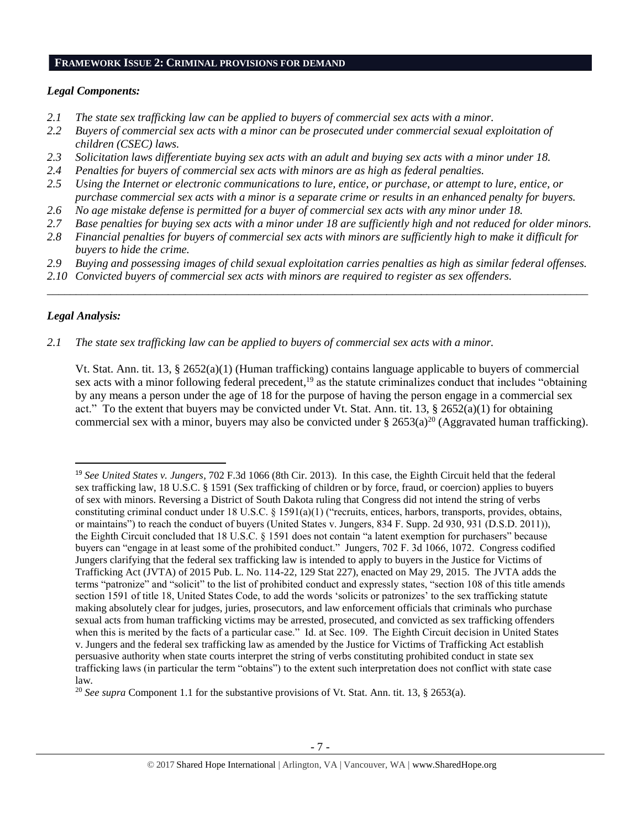#### **FRAMEWORK ISSUE 2: CRIMINAL PROVISIONS FOR DEMAND**

#### *Legal Components:*

- *2.1 The state sex trafficking law can be applied to buyers of commercial sex acts with a minor.*
- *2.2 Buyers of commercial sex acts with a minor can be prosecuted under commercial sexual exploitation of children (CSEC) laws.*
- *2.3 Solicitation laws differentiate buying sex acts with an adult and buying sex acts with a minor under 18.*
- *2.4 Penalties for buyers of commercial sex acts with minors are as high as federal penalties.*
- *2.5 Using the Internet or electronic communications to lure, entice, or purchase, or attempt to lure, entice, or purchase commercial sex acts with a minor is a separate crime or results in an enhanced penalty for buyers.*
- *2.6 No age mistake defense is permitted for a buyer of commercial sex acts with any minor under 18.*
- *2.7 Base penalties for buying sex acts with a minor under 18 are sufficiently high and not reduced for older minors.*
- *2.8 Financial penalties for buyers of commercial sex acts with minors are sufficiently high to make it difficult for buyers to hide the crime.*
- *2.9 Buying and possessing images of child sexual exploitation carries penalties as high as similar federal offenses.*

\_\_\_\_\_\_\_\_\_\_\_\_\_\_\_\_\_\_\_\_\_\_\_\_\_\_\_\_\_\_\_\_\_\_\_\_\_\_\_\_\_\_\_\_\_\_\_\_\_\_\_\_\_\_\_\_\_\_\_\_\_\_\_\_\_\_\_\_\_\_\_\_\_\_\_\_\_\_\_\_\_\_\_\_\_\_\_\_\_\_\_\_\_\_

*2.10 Convicted buyers of commercial sex acts with minors are required to register as sex offenders.* 

# *Legal Analysis:*

 $\overline{\phantom{a}}$ 

*2.1 The state sex trafficking law can be applied to buyers of commercial sex acts with a minor.*

Vt. Stat. Ann. tit. 13, § 2652(a)(1) (Human trafficking) contains language applicable to buyers of commercial sex acts with a minor following federal precedent,<sup>19</sup> as the statute criminalizes conduct that includes "obtaining by any means a person under the age of 18 for the purpose of having the person engage in a commercial sex act." To the extent that buyers may be convicted under Vt. Stat. Ann. tit. 13, § 2652(a)(1) for obtaining commercial sex with a minor, buyers may also be convicted under § 2653(a)<sup>20</sup> (Aggravated human trafficking).

<sup>19</sup> *See United States v. Jungers*, 702 F.3d 1066 (8th Cir. 2013). In this case, the Eighth Circuit held that the federal sex trafficking law, 18 U.S.C. § 1591 (Sex trafficking of children or by force, fraud, or coercion) applies to buyers of sex with minors. Reversing a District of South Dakota ruling that Congress did not intend the string of verbs constituting criminal conduct under 18 U.S.C. § 1591(a)(1) ("recruits, entices, harbors, transports, provides, obtains, or maintains") to reach the conduct of buyers (United States v. Jungers, 834 F. Supp. 2d 930, 931 (D.S.D. 2011)), the Eighth Circuit concluded that 18 U.S.C. § 1591 does not contain "a latent exemption for purchasers" because buyers can "engage in at least some of the prohibited conduct." Jungers, 702 F. 3d 1066, 1072. Congress codified Jungers clarifying that the federal sex trafficking law is intended to apply to buyers in the Justice for Victims of Trafficking Act (JVTA) of 2015 Pub. L. No. 114-22, 129 Stat 227), enacted on May 29, 2015. The JVTA adds the terms "patronize" and "solicit" to the list of prohibited conduct and expressly states, "section 108 of this title amends section 1591 of title 18, United States Code, to add the words 'solicits or patronizes' to the sex trafficking statute making absolutely clear for judges, juries, prosecutors, and law enforcement officials that criminals who purchase sexual acts from human trafficking victims may be arrested, prosecuted, and convicted as sex trafficking offenders when this is merited by the facts of a particular case." Id. at Sec. 109. The Eighth Circuit decision in United States v. Jungers and the federal sex trafficking law as amended by the Justice for Victims of Trafficking Act establish persuasive authority when state courts interpret the string of verbs constituting prohibited conduct in state sex trafficking laws (in particular the term "obtains") to the extent such interpretation does not conflict with state case law.

<sup>&</sup>lt;sup>20</sup> *See supra* Component 1.1 for the substantive provisions of Vt. Stat. Ann. tit. 13, § 2653(a).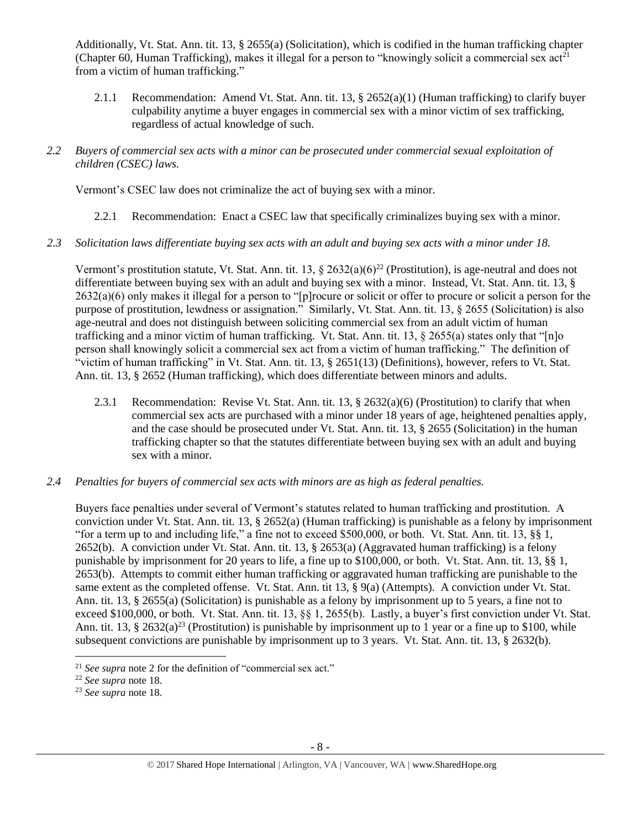Additionally, Vt. Stat. Ann. tit. 13, § 2655(a) (Solicitation), which is codified in the human trafficking chapter (Chapter 60, Human Trafficking), makes it illegal for a person to "knowingly solicit a commercial sex act<sup>21</sup> from a victim of human trafficking."

- 2.1.1 Recommendation: Amend Vt. Stat. Ann. tit. 13, § 2652(a)(1) (Human trafficking) to clarify buyer culpability anytime a buyer engages in commercial sex with a minor victim of sex trafficking, regardless of actual knowledge of such.
- *2.2 Buyers of commercial sex acts with a minor can be prosecuted under commercial sexual exploitation of children (CSEC) laws.*

Vermont's CSEC law does not criminalize the act of buying sex with a minor.

- 2.2.1 Recommendation: Enact a CSEC law that specifically criminalizes buying sex with a minor.
- *2.3 Solicitation laws differentiate buying sex acts with an adult and buying sex acts with a minor under 18.*

Vermont's prostitution statute, Vt. Stat. Ann. tit. 13,  $\S 2632(a)(6)^{22}$  (Prostitution), is age-neutral and does not differentiate between buying sex with an adult and buying sex with a minor. Instead, Vt. Stat. Ann. tit. 13, §  $2632(a)(6)$  only makes it illegal for a person to "[p]rocure or solicit or offer to procure or solicit a person for the purpose of prostitution, lewdness or assignation." Similarly, Vt. Stat. Ann. tit. 13, § 2655 (Solicitation) is also age-neutral and does not distinguish between soliciting commercial sex from an adult victim of human trafficking and a minor victim of human trafficking. Vt. Stat. Ann. tit. 13, § 2655(a) states only that "[n]o person shall knowingly solicit a commercial sex act from a victim of human trafficking." The definition of "victim of human trafficking" in Vt. Stat. Ann. tit. 13, § 2651(13) (Definitions), however, refers to Vt. Stat. Ann. tit. 13, § 2652 (Human trafficking), which does differentiate between minors and adults.

- 2.3.1 Recommendation: Revise Vt. Stat. Ann. tit. 13, § 2632(a)(6) (Prostitution) to clarify that when commercial sex acts are purchased with a minor under 18 years of age, heightened penalties apply, and the case should be prosecuted under Vt. Stat. Ann. tit. 13, § 2655 (Solicitation) in the human trafficking chapter so that the statutes differentiate between buying sex with an adult and buying sex with a minor.
- *2.4 Penalties for buyers of commercial sex acts with minors are as high as federal penalties.*

Buyers face penalties under several of Vermont's statutes related to human trafficking and prostitution. A conviction under Vt. Stat. Ann. tit. 13, § 2652(a) (Human trafficking) is punishable as a felony by imprisonment "for a term up to and including life," a fine not to exceed \$500,000, or both. Vt. Stat. Ann. tit. 13, §§ 1, 2652(b). A conviction under Vt. Stat. Ann. tit. 13, § 2653(a) (Aggravated human trafficking) is a felony punishable by imprisonment for 20 years to life, a fine up to \$100,000, or both. Vt. Stat. Ann. tit. 13, §§ 1, 2653(b). Attempts to commit either human trafficking or aggravated human trafficking are punishable to the same extent as the completed offense. Vt. Stat. Ann. tit 13, § 9(a) (Attempts). A conviction under Vt. Stat. Ann. tit. 13, § 2655(a) (Solicitation) is punishable as a felony by imprisonment up to 5 years, a fine not to exceed \$100,000, or both. Vt. Stat. Ann. tit. 13, §§ 1, 2655(b). Lastly, a buyer's first conviction under Vt. Stat. Ann. tit. 13, § 2632(a)<sup>23</sup> (Prostitution) is punishable by imprisonment up to 1 year or a fine up to \$100, while subsequent convictions are punishable by imprisonment up to 3 years. Vt. Stat. Ann. tit. 13, § 2632(b).

 $\overline{a}$ 

<sup>&</sup>lt;sup>21</sup> *See supra* note [2](#page-0-0) for the definition of "commercial sex act."

<sup>22</sup> *See supra* note [18.](#page-5-0)

<sup>23</sup> *See supra* note [18.](#page-5-0)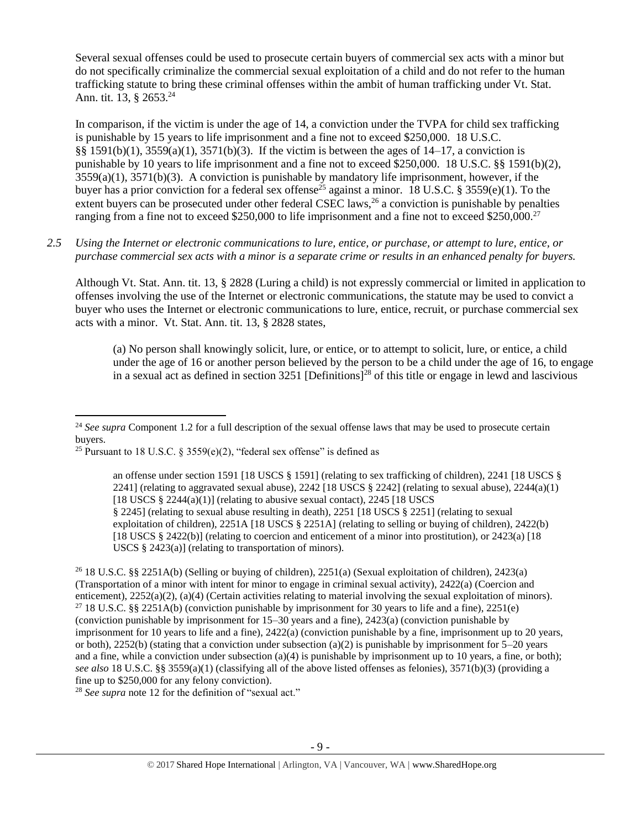Several sexual offenses could be used to prosecute certain buyers of commercial sex acts with a minor but do not specifically criminalize the commercial sexual exploitation of a child and do not refer to the human trafficking statute to bring these criminal offenses within the ambit of human trafficking under Vt. Stat. Ann. tit. 13, § 2653.<sup>24</sup>

<span id="page-8-0"></span>In comparison, if the victim is under the age of 14, a conviction under the TVPA for child sex trafficking is punishable by 15 years to life imprisonment and a fine not to exceed \$250,000. 18 U.S.C. §§ 1591(b)(1), 3559(a)(1), 3571(b)(3). If the victim is between the ages of 14–17, a conviction is punishable by 10 years to life imprisonment and a fine not to exceed \$250,000. 18 U.S.C. §§ 1591(b)(2),  $3559(a)(1)$ ,  $3571(b)(3)$ . A conviction is punishable by mandatory life imprisonment, however, if the buyer has a prior conviction for a federal sex offense<sup>25</sup> against a minor. 18 U.S.C. § 3559(e)(1). To the extent buyers can be prosecuted under other federal CSEC laws,  $^{26}$  a conviction is punishable by penalties ranging from a fine not to exceed \$250,000 to life imprisonment and a fine not to exceed \$250,000.<sup>27</sup>

*2.5 Using the Internet or electronic communications to lure, entice, or purchase, or attempt to lure, entice, or purchase commercial sex acts with a minor is a separate crime or results in an enhanced penalty for buyers.*

Although Vt. Stat. Ann. tit. 13, § 2828 (Luring a child) is not expressly commercial or limited in application to offenses involving the use of the Internet or electronic communications, the statute may be used to convict a buyer who uses the Internet or electronic communications to lure, entice, recruit, or purchase commercial sex acts with a minor. Vt. Stat. Ann. tit. 13, § 2828 states,

(a) No person shall knowingly solicit, lure, or entice, or to attempt to solicit, lure, or entice, a child under the age of 16 or another person believed by the person to be a child under the age of 16, to engage in a sexual act as defined in section 3251 [Definitions]<sup>28</sup> of this title or engage in lewd and lascivious

 $\overline{\phantom{a}}$ 

<sup>26</sup> 18 U.S.C. §§ 2251A(b) (Selling or buying of children), 2251(a) (Sexual exploitation of children), 2423(a) (Transportation of a minor with intent for minor to engage in criminal sexual activity), 2422(a) (Coercion and enticement), 2252(a)(2), (a)(4) (Certain activities relating to material involving the sexual exploitation of minors). <sup>27</sup> 18 U.S.C. §§ 2251A(b) (conviction punishable by imprisonment for 30 years to life and a fine), 2251(e) (conviction punishable by imprisonment for 15–30 years and a fine), 2423(a) (conviction punishable by imprisonment for 10 years to life and a fine), 2422(a) (conviction punishable by a fine, imprisonment up to 20 years, or both), 2252(b) (stating that a conviction under subsection (a)(2) is punishable by imprisonment for  $5-20$  years and a fine, while a conviction under subsection (a)(4) is punishable by imprisonment up to 10 years, a fine, or both); *see also* 18 U.S.C. §§ 3559(a)(1) (classifying all of the above listed offenses as felonies), 3571(b)(3) (providing a fine up to \$250,000 for any felony conviction).

<sup>28</sup> *See supra* note [12](#page-3-0) for the definition of "sexual act."

<sup>&</sup>lt;sup>24</sup> See supra Component 1.2 for a full description of the sexual offense laws that may be used to prosecute certain buyers.

<sup>&</sup>lt;sup>25</sup> Pursuant to 18 U.S.C. § 3559(e)(2), "federal sex offense" is defined as

an offense under section 1591 [18 USCS § 1591] (relating to sex trafficking of children), 2241 [18 USCS § 2241] (relating to aggravated sexual abuse), 2242 [18 USCS  $\S$  2242] (relating to sexual abuse), 2244(a)(1) [18 USCS  $\S$  2244(a)(1)] (relating to abusive sexual contact), 2245 [18 USCS] § 2245] (relating to sexual abuse resulting in death), 2251 [18 USCS § 2251] (relating to sexual exploitation of children), 2251A [18 USCS § 2251A] (relating to selling or buying of children), 2422(b) [18 USCS § 2422(b)] (relating to coercion and enticement of a minor into prostitution), or 2423(a) [18 USCS § 2423(a)] (relating to transportation of minors).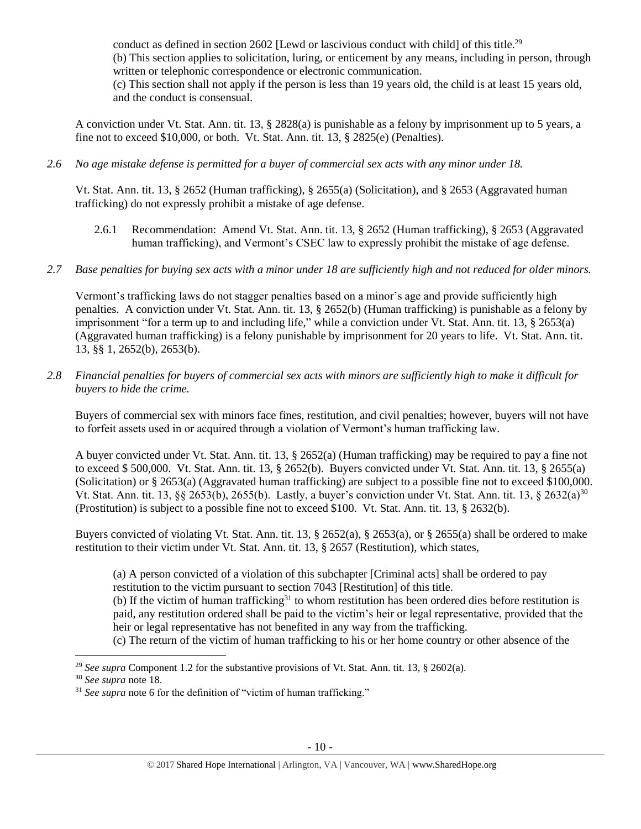conduct as defined in section 2602 [Lewd or lascivious conduct with child] of this title.<sup>29</sup> (b) This section applies to solicitation, luring, or enticement by any means, including in person, through written or telephonic correspondence or electronic communication. (c) This section shall not apply if the person is less than 19 years old, the child is at least 15 years old, and the conduct is consensual.

A conviction under Vt. Stat. Ann. tit. 13, § 2828(a) is punishable as a felony by imprisonment up to 5 years, a fine not to exceed \$10,000, or both. Vt. Stat. Ann. tit. 13, § 2825(e) (Penalties).

*2.6 No age mistake defense is permitted for a buyer of commercial sex acts with any minor under 18.*

Vt. Stat. Ann. tit. 13, § 2652 (Human trafficking), § 2655(a) (Solicitation), and § 2653 (Aggravated human trafficking) do not expressly prohibit a mistake of age defense.

- 2.6.1 Recommendation: Amend Vt. Stat. Ann. tit. 13, § 2652 (Human trafficking), § 2653 (Aggravated human trafficking), and Vermont's CSEC law to expressly prohibit the mistake of age defense.
- *2.7 Base penalties for buying sex acts with a minor under 18 are sufficiently high and not reduced for older minors.*

Vermont's trafficking laws do not stagger penalties based on a minor's age and provide sufficiently high penalties. A conviction under Vt. Stat. Ann. tit. 13, § 2652(b) (Human trafficking) is punishable as a felony by imprisonment "for a term up to and including life," while a conviction under Vt. Stat. Ann. tit. 13, § 2653(a) (Aggravated human trafficking) is a felony punishable by imprisonment for 20 years to life. Vt. Stat. Ann. tit. 13, §§ 1, 2652(b), 2653(b).

*2.8 Financial penalties for buyers of commercial sex acts with minors are sufficiently high to make it difficult for buyers to hide the crime.* 

Buyers of commercial sex with minors face fines, restitution, and civil penalties; however, buyers will not have to forfeit assets used in or acquired through a violation of Vermont's human trafficking law.

A buyer convicted under Vt. Stat. Ann. tit. 13, § 2652(a) (Human trafficking) may be required to pay a fine not to exceed \$ 500,000. Vt. Stat. Ann. tit. 13, § 2652(b). Buyers convicted under Vt. Stat. Ann. tit. 13, § 2655(a) (Solicitation) or § 2653(a) (Aggravated human trafficking) are subject to a possible fine not to exceed \$100,000. Vt. Stat. Ann. tit. 13, §§ 2653(b), 2655(b). Lastly, a buyer's conviction under Vt. Stat. Ann. tit. 13, § 2632(a)<sup>30</sup> (Prostitution) is subject to a possible fine not to exceed \$100. Vt. Stat. Ann. tit. 13, § 2632(b).

Buyers convicted of violating Vt. Stat. Ann. tit. 13, § 2652(a), § 2653(a), or § 2655(a) shall be ordered to make restitution to their victim under Vt. Stat. Ann. tit. 13, § 2657 (Restitution), which states,

(a) A person convicted of a violation of this subchapter [Criminal acts] shall be ordered to pay restitution to the victim pursuant to section 7043 [Restitution] of this title.

(b) If the victim of human trafficking<sup>31</sup> to whom restitution has been ordered dies before restitution is paid, any restitution ordered shall be paid to the victim's heir or legal representative, provided that the heir or legal representative has not benefited in any way from the trafficking.

(c) The return of the victim of human trafficking to his or her home country or other absence of the

 $\overline{a}$ 

<sup>29</sup> *See supra* Component 1.2 for the substantive provisions of Vt. Stat. Ann. tit. 13, § 2602(a).

<sup>30</sup> *See supra* note [18.](#page-5-0)

<sup>&</sup>lt;sup>31</sup> See supra note [6](#page-1-0) for the definition of "victim of human trafficking."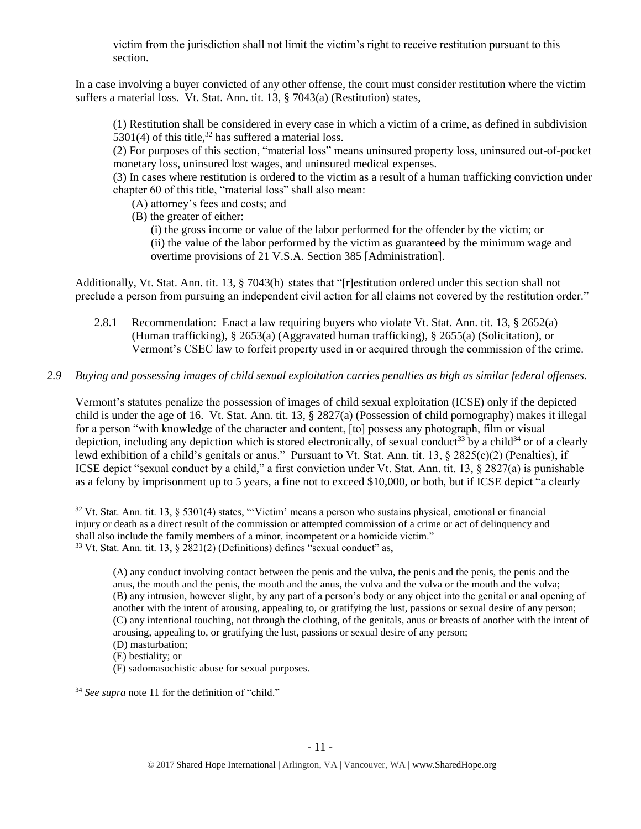victim from the jurisdiction shall not limit the victim's right to receive restitution pursuant to this section.

In a case involving a buyer convicted of any other offense, the court must consider restitution where the victim suffers a material loss. Vt. Stat. Ann. tit. 13, § 7043(a) (Restitution) states,

(1) Restitution shall be considered in every case in which a victim of a crime, as defined in subdivision 5301(4) of this title,<sup>32</sup> has suffered a material loss.

<span id="page-10-0"></span>(2) For purposes of this section, "material loss" means uninsured property loss, uninsured out-of-pocket monetary loss, uninsured lost wages, and uninsured medical expenses.

(3) In cases where restitution is ordered to the victim as a result of a human trafficking conviction under chapter 60 of this title, "material loss" shall also mean:

- (A) attorney's fees and costs; and
- (B) the greater of either:

<span id="page-10-1"></span>(i) the gross income or value of the labor performed for the offender by the victim; or (ii) the value of the labor performed by the victim as guaranteed by the minimum wage and overtime provisions of 21 V.S.A. Section 385 [Administration].

Additionally, Vt. Stat. Ann. tit. 13, § 7043(h) states that "[r]estitution ordered under this section shall not preclude a person from pursuing an independent civil action for all claims not covered by the restitution order."

- 2.8.1 Recommendation: Enact a law requiring buyers who violate Vt. Stat. Ann. tit. 13, § 2652(a) (Human trafficking), § 2653(a) (Aggravated human trafficking), § 2655(a) (Solicitation), or Vermont's CSEC law to forfeit property used in or acquired through the commission of the crime.
- *2.9 Buying and possessing images of child sexual exploitation carries penalties as high as similar federal offenses.*

Vermont's statutes penalize the possession of images of child sexual exploitation (ICSE) only if the depicted child is under the age of 16. Vt. Stat. Ann. tit. 13, § 2827(a) (Possession of child pornography) makes it illegal for a person "with knowledge of the character and content, [to] possess any photograph, film or visual depiction, including any depiction which is stored electronically, of sexual conduct<sup>33</sup> by a child<sup>34</sup> or of a clearly lewd exhibition of a child's genitals or anus." Pursuant to Vt. Stat. Ann. tit. 13, § 2825(c)(2) (Penalties), if ICSE depict "sexual conduct by a child," a first conviction under Vt. Stat. Ann. tit. 13, § 2827(a) is punishable as a felony by imprisonment up to 5 years, a fine not to exceed \$10,000, or both, but if ICSE depict "a clearly

 $\overline{a}$ 

(F) sadomasochistic abuse for sexual purposes.

<sup>34</sup> *See supra* note [11](#page-2-0) for the definition of "child."

 $32$  Vt. Stat. Ann. tit. 13, § 5301(4) states, "Victim' means a person who sustains physical, emotional or financial injury or death as a direct result of the commission or attempted commission of a crime or act of delinquency and shall also include the family members of a minor, incompetent or a homicide victim."  $33$  Vt. Stat. Ann. tit. 13, § 2821(2) (Definitions) defines "sexual conduct" as,

<sup>(</sup>A) any conduct involving contact between the penis and the vulva, the penis and the penis, the penis and the anus, the mouth and the penis, the mouth and the anus, the vulva and the vulva or the mouth and the vulva; (B) any intrusion, however slight, by any part of a person's body or any object into the genital or anal opening of another with the intent of arousing, appealing to, or gratifying the lust, passions or sexual desire of any person; (C) any intentional touching, not through the clothing, of the genitals, anus or breasts of another with the intent of arousing, appealing to, or gratifying the lust, passions or sexual desire of any person; (D) masturbation;

<sup>(</sup>E) bestiality; or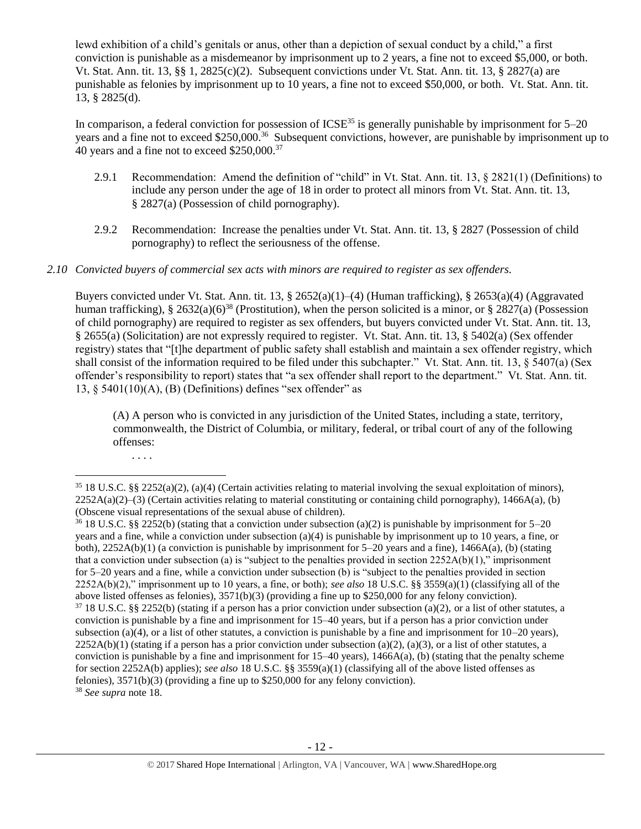lewd exhibition of a child's genitals or anus, other than a depiction of sexual conduct by a child," a first conviction is punishable as a misdemeanor by imprisonment up to 2 years, a fine not to exceed \$5,000, or both. Vt. Stat. Ann. tit. 13, §§ 1, 2825(c)(2). Subsequent convictions under Vt. Stat. Ann. tit. 13, § 2827(a) are punishable as felonies by imprisonment up to 10 years, a fine not to exceed \$50,000, or both. Vt. Stat. Ann. tit. 13, § 2825(d).

In comparison, a federal conviction for possession of  $ICSE<sup>35</sup>$  is generally punishable by imprisonment for  $5-20$ years and a fine not to exceed \$250,000.<sup>36</sup> Subsequent convictions, however, are punishable by imprisonment up to 40 years and a fine not to exceed \$250,000.<sup>37</sup>

- 2.9.1 Recommendation: Amend the definition of "child" in Vt. Stat. Ann. tit. 13, § 2821(1) (Definitions) to include any person under the age of 18 in order to protect all minors from Vt. Stat. Ann. tit. 13, § 2827(a) (Possession of child pornography).
- 2.9.2 Recommendation: Increase the penalties under Vt. Stat. Ann. tit. 13, § 2827 (Possession of child pornography) to reflect the seriousness of the offense.

### *2.10 Convicted buyers of commercial sex acts with minors are required to register as sex offenders.*

Buyers convicted under Vt. Stat. Ann. tit. 13, § 2652(a)(1)–(4) (Human trafficking), § 2653(a)(4) (Aggravated human trafficking), § 2632(a)(6)<sup>38</sup> (Prostitution), when the person solicited is a minor, or § 2827(a) (Possession of child pornography) are required to register as sex offenders, but buyers convicted under Vt. Stat. Ann. tit. 13, § 2655(a) (Solicitation) are not expressly required to register. Vt. Stat. Ann. tit. 13, § 5402(a) (Sex offender registry) states that "[t]he department of public safety shall establish and maintain a sex offender registry, which shall consist of the information required to be filed under this subchapter." Vt. Stat. Ann. tit. 13, § 5407(a) (Sex offender's responsibility to report) states that "a sex offender shall report to the department." Vt. Stat. Ann. tit. 13,  $\S$  5401(10)(A), (B) (Definitions) defines "sex offender" as

(A) A person who is convicted in any jurisdiction of the United States, including a state, territory, commonwealth, the District of Columbia, or military, federal, or tribal court of any of the following offenses:

<sup>. . . .</sup>

 $35\,18$  U.S.C. §§ 2252(a)(2), (a)(4) (Certain activities relating to material involving the sexual exploitation of minors),  $2252A(a)(2)$ –(3) (Certain activities relating to material constituting or containing child pornography), 1466A(a), (b) (Obscene visual representations of the sexual abuse of children).

<sup>&</sup>lt;sup>36</sup> 18 U.S.C. §§ 2252(b) (stating that a conviction under subsection (a)(2) is punishable by imprisonment for 5–20 years and a fine, while a conviction under subsection (a)(4) is punishable by imprisonment up to 10 years, a fine, or both), 2252A(b)(1) (a conviction is punishable by imprisonment for 5–20 years and a fine), 1466A(a), (b) (stating that a conviction under subsection (a) is "subject to the penalties provided in section 2252A(b)(1)," imprisonment for 5–20 years and a fine, while a conviction under subsection (b) is "subject to the penalties provided in section 2252A(b)(2)," imprisonment up to 10 years, a fine, or both); *see also* 18 U.S.C. §§ 3559(a)(1) (classifying all of the above listed offenses as felonies), 3571(b)(3) (providing a fine up to \$250,000 for any felony conviction).  $37\,18$  U.S.C. §§ 2252(b) (stating if a person has a prior conviction under subsection (a)(2), or a list of other statutes, a conviction is punishable by a fine and imprisonment for 15–40 years, but if a person has a prior conviction under subsection (a)(4), or a list of other statutes, a conviction is punishable by a fine and imprisonment for  $10-20$  years),  $2252A(b)(1)$  (stating if a person has a prior conviction under subsection (a)(2), (a)(3), or a list of other statutes, a conviction is punishable by a fine and imprisonment for  $15-40$  years),  $1466A(a)$ , (b) (stating that the penalty scheme for section 2252A(b) applies); *see also* 18 U.S.C. §§ 3559(a)(1) (classifying all of the above listed offenses as felonies), 3571(b)(3) (providing a fine up to \$250,000 for any felony conviction). <sup>38</sup> *See supra* note [18.](#page-5-0)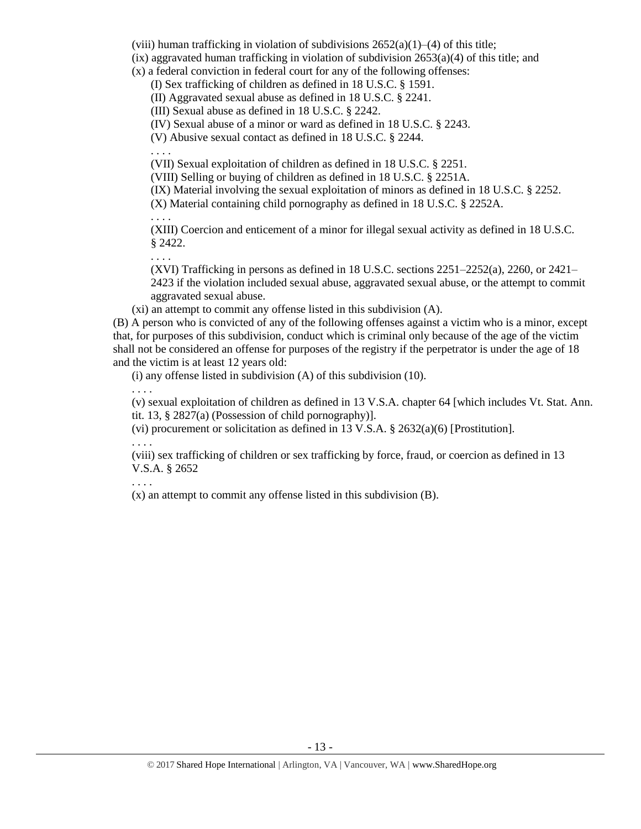(viii) human trafficking in violation of subdivisions  $2652(a)(1)–(4)$  of this title;

 $(ix)$  aggravated human trafficking in violation of subdivision  $2653(a)(4)$  of this title; and

(x) a federal conviction in federal court for any of the following offenses:

(I) Sex trafficking of children as defined in 18 U.S.C. § 1591.

(II) Aggravated sexual abuse as defined in 18 U.S.C. § 2241.

(III) Sexual abuse as defined in 18 U.S.C. § 2242.

(IV) Sexual abuse of a minor or ward as defined in 18 U.S.C. § 2243.

(V) Abusive sexual contact as defined in 18 U.S.C. § 2244.

. . . . (VII) Sexual exploitation of children as defined in 18 U.S.C. § 2251.

(VIII) Selling or buying of children as defined in 18 U.S.C. § 2251A.

(IX) Material involving the sexual exploitation of minors as defined in 18 U.S.C. § 2252.

(X) Material containing child pornography as defined in 18 U.S.C. § 2252A.

(XIII) Coercion and enticement of a minor for illegal sexual activity as defined in 18 U.S.C. § 2422.

(XVI) Trafficking in persons as defined in 18 U.S.C. sections 2251–2252(a), 2260, or 2421– 2423 if the violation included sexual abuse, aggravated sexual abuse, or the attempt to commit aggravated sexual abuse.

(xi) an attempt to commit any offense listed in this subdivision (A).

(B) A person who is convicted of any of the following offenses against a victim who is a minor, except that, for purposes of this subdivision, conduct which is criminal only because of the age of the victim shall not be considered an offense for purposes of the registry if the perpetrator is under the age of 18 and the victim is at least 12 years old:

(i) any offense listed in subdivision (A) of this subdivision (10).

. . . .

. . . .

. . . .

(v) sexual exploitation of children as defined in 13 V.S.A. chapter 64 [which includes Vt. Stat. Ann. tit. 13, § 2827(a) (Possession of child pornography)].

(vi) procurement or solicitation as defined in 13 V.S.A.  $\S$  2632(a)(6) [Prostitution].

. . . .

(viii) sex trafficking of children or sex trafficking by force, fraud, or coercion as defined in 13 V.S.A. § 2652

. . . .

(x) an attempt to commit any offense listed in this subdivision (B).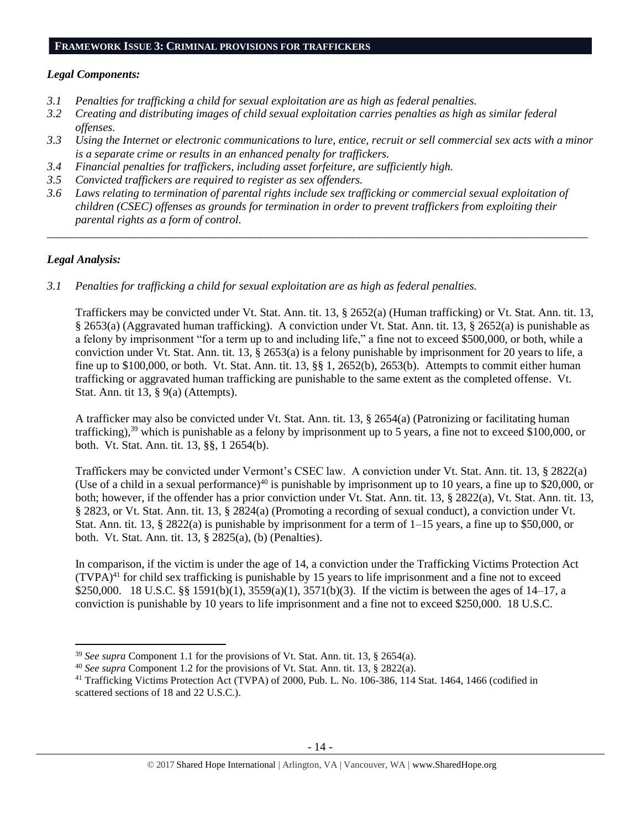#### **FRAMEWORK ISSUE 3: CRIMINAL PROVISIONS FOR TRAFFICKERS**

#### *Legal Components:*

- *3.1 Penalties for trafficking a child for sexual exploitation are as high as federal penalties.*
- *3.2 Creating and distributing images of child sexual exploitation carries penalties as high as similar federal offenses.*
- *3.3 Using the Internet or electronic communications to lure, entice, recruit or sell commercial sex acts with a minor is a separate crime or results in an enhanced penalty for traffickers.*
- *3.4 Financial penalties for traffickers, including asset forfeiture, are sufficiently high.*
- *3.5 Convicted traffickers are required to register as sex offenders.*
- *3.6 Laws relating to termination of parental rights include sex trafficking or commercial sexual exploitation of children (CSEC) offenses as grounds for termination in order to prevent traffickers from exploiting their parental rights as a form of control.*

*\_\_\_\_\_\_\_\_\_\_\_\_\_\_\_\_\_\_\_\_\_\_\_\_\_\_\_\_\_\_\_\_\_\_\_\_\_\_\_\_\_\_\_\_\_\_\_\_\_\_\_\_\_\_\_\_\_\_\_\_\_\_\_\_\_\_\_\_\_\_\_\_\_\_\_\_\_\_\_\_\_\_\_\_\_\_\_\_\_\_\_\_\_\_*

# *Legal Analysis:*

l

*3.1 Penalties for trafficking a child for sexual exploitation are as high as federal penalties.* 

Traffickers may be convicted under Vt. Stat. Ann. tit. 13, § 2652(a) (Human trafficking) or Vt. Stat. Ann. tit. 13, § 2653(a) (Aggravated human trafficking). A conviction under Vt. Stat. Ann. tit. 13, § 2652(a) is punishable as a felony by imprisonment "for a term up to and including life," a fine not to exceed \$500,000, or both, while a conviction under Vt. Stat. Ann. tit. 13, § 2653(a) is a felony punishable by imprisonment for 20 years to life, a fine up to \$100,000, or both. Vt. Stat. Ann. tit. 13, §§ 1, 2652(b), 2653(b). Attempts to commit either human trafficking or aggravated human trafficking are punishable to the same extent as the completed offense. Vt. Stat. Ann. tit 13, § 9(a) (Attempts).

A trafficker may also be convicted under Vt. Stat. Ann. tit. 13, § 2654(a) (Patronizing or facilitating human trafficking), $39$  which is punishable as a felony by imprisonment up to 5 years, a fine not to exceed \$100,000, or both. Vt. Stat. Ann. tit. 13, §§, 1 2654(b).

Traffickers may be convicted under Vermont's CSEC law. A conviction under Vt. Stat. Ann. tit. 13, § 2822(a) (Use of a child in a sexual performance)<sup>40</sup> is punishable by imprisonment up to 10 years, a fine up to \$20,000, or both; however, if the offender has a prior conviction under Vt. Stat. Ann. tit. 13, § 2822(a), Vt. Stat. Ann. tit. 13, § 2823, or Vt. Stat. Ann. tit. 13, § 2824(a) (Promoting a recording of sexual conduct), a conviction under Vt. Stat. Ann. tit. 13,  $\S 2822(a)$  is punishable by imprisonment for a term of 1–15 years, a fine up to \$50,000, or both. Vt. Stat. Ann. tit. 13, § 2825(a), (b) (Penalties).

In comparison, if the victim is under the age of 14, a conviction under the Trafficking Victims Protection Act  $(TVPA)^{41}$  for child sex trafficking is punishable by 15 years to life imprisonment and a fine not to exceed \$250,000. 18 U.S.C. §§ 1591(b)(1), 3559(a)(1), 3571(b)(3). If the victim is between the ages of 14–17, a conviction is punishable by 10 years to life imprisonment and a fine not to exceed \$250,000. 18 U.S.C.

<sup>39</sup> *See supra* Component 1.1 for the provisions of Vt. Stat. Ann. tit. 13, § 2654(a).

<sup>40</sup> *See supra* Component 1.2 for the provisions of Vt. Stat. Ann. tit. 13, § 2822(a).

<sup>&</sup>lt;sup>41</sup> Trafficking Victims Protection Act (TVPA) of 2000, Pub. L. No. 106-386, 114 Stat. 1464, 1466 (codified in scattered sections of 18 and 22 U.S.C.).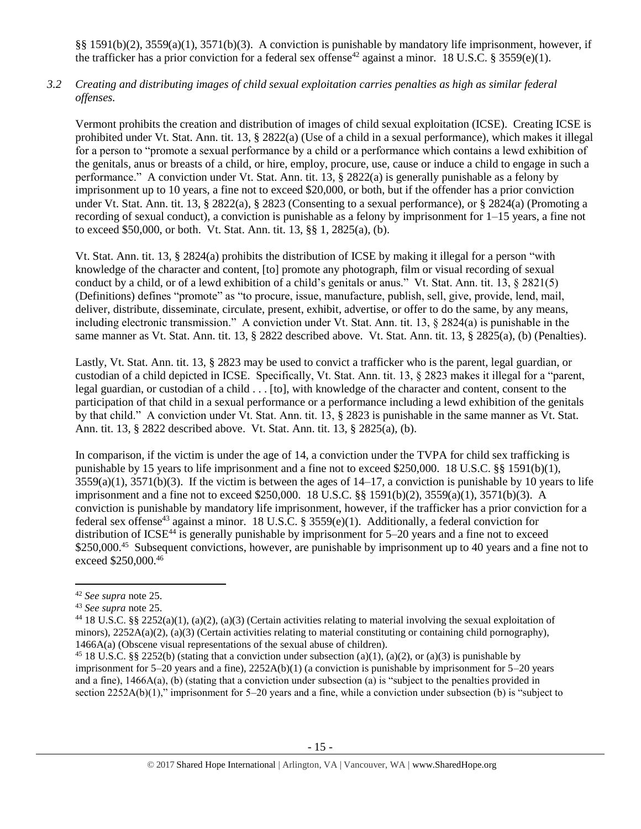§§ 1591(b)(2), 3559(a)(1), 3571(b)(3). A conviction is punishable by mandatory life imprisonment, however, if the trafficker has a prior conviction for a federal sex offense<sup>42</sup> against a minor. 18 U.S.C. § 3559(e)(1).

*3.2 Creating and distributing images of child sexual exploitation carries penalties as high as similar federal offenses.*

Vermont prohibits the creation and distribution of images of child sexual exploitation (ICSE). Creating ICSE is prohibited under Vt. Stat. Ann. tit. 13, § 2822(a) (Use of a child in a sexual performance), which makes it illegal for a person to "promote a sexual performance by a child or a performance which contains a lewd exhibition of the genitals, anus or breasts of a child, or hire, employ, procure, use, cause or induce a child to engage in such a performance." A conviction under Vt. Stat. Ann. tit. 13, § 2822(a) is generally punishable as a felony by imprisonment up to 10 years, a fine not to exceed \$20,000, or both, but if the offender has a prior conviction under Vt. Stat. Ann. tit. 13, § 2822(a), § 2823 (Consenting to a sexual performance), or § 2824(a) (Promoting a recording of sexual conduct), a conviction is punishable as a felony by imprisonment for 1–15 years, a fine not to exceed \$50,000, or both. Vt. Stat. Ann. tit. 13, §§ 1, 2825(a), (b).

Vt. Stat. Ann. tit. 13, § 2824(a) prohibits the distribution of ICSE by making it illegal for a person "with knowledge of the character and content, [to] promote any photograph, film or visual recording of sexual conduct by a child, or of a lewd exhibition of a child's genitals or anus." Vt. Stat. Ann. tit. 13, § 2821(5) (Definitions) defines "promote" as "to procure, issue, manufacture, publish, sell, give, provide, lend, mail, deliver, distribute, disseminate, circulate, present, exhibit, advertise, or offer to do the same, by any means, including electronic transmission." A conviction under Vt. Stat. Ann. tit. 13, § 2824(a) is punishable in the same manner as Vt. Stat. Ann. tit. 13, § 2822 described above. Vt. Stat. Ann. tit. 13, § 2825(a), (b) (Penalties).

Lastly, Vt. Stat. Ann. tit. 13, § 2823 may be used to convict a trafficker who is the parent, legal guardian, or custodian of a child depicted in ICSE. Specifically, Vt. Stat. Ann. tit. 13, § 2823 makes it illegal for a "parent, legal guardian, or custodian of a child . . . [to], with knowledge of the character and content, consent to the participation of that child in a sexual performance or a performance including a lewd exhibition of the genitals by that child." A conviction under Vt. Stat. Ann. tit. 13, § 2823 is punishable in the same manner as Vt. Stat. Ann. tit. 13, § 2822 described above. Vt. Stat. Ann. tit. 13, § 2825(a), (b).

In comparison, if the victim is under the age of 14, a conviction under the TVPA for child sex trafficking is punishable by 15 years to life imprisonment and a fine not to exceed \$250,000. 18 U.S.C. §§ 1591(b)(1),  $3559(a)(1)$ ,  $3571(b)(3)$ . If the victim is between the ages of  $14-17$ , a conviction is punishable by 10 years to life imprisonment and a fine not to exceed \$250,000. 18 U.S.C. §§ 1591(b)(2), 3559(a)(1), 3571(b)(3). A conviction is punishable by mandatory life imprisonment, however, if the trafficker has a prior conviction for a federal sex offense<sup>43</sup> against a minor. 18 U.S.C. § 3559(e)(1). Additionally, a federal conviction for distribution of  $ICSE<sup>44</sup>$  is generally punishable by imprisonment for 5–20 years and a fine not to exceed \$250,000.<sup>45</sup> Subsequent convictions, however, are punishable by imprisonment up to 40 years and a fine not to exceed \$250,000.<sup>46</sup>

<sup>42</sup> *See supra* note [25.](#page-8-0) 

<sup>43</sup> *See supra* note [25.](#page-8-0)

<sup>&</sup>lt;sup>44</sup> 18 U.S.C. §§ 2252(a)(1), (a)(2), (a)(3) (Certain activities relating to material involving the sexual exploitation of minors),  $2252A(a)(2)$ ,  $(a)(3)$  (Certain activities relating to material constituting or containing child pornography), 1466A(a) (Obscene visual representations of the sexual abuse of children).

<sup>&</sup>lt;sup>45</sup> 18 U.S.C. §§ 2252(b) (stating that a conviction under subsection (a)(1), (a)(2), or (a)(3) is punishable by imprisonment for  $5-20$  years and a fine),  $2252A(b)(1)$  (a conviction is punishable by imprisonment for  $5-20$  years and a fine), 1466A(a), (b) (stating that a conviction under subsection (a) is "subject to the penalties provided in section 2252A(b)(1)," imprisonment for 5–20 years and a fine, while a conviction under subsection (b) is "subject to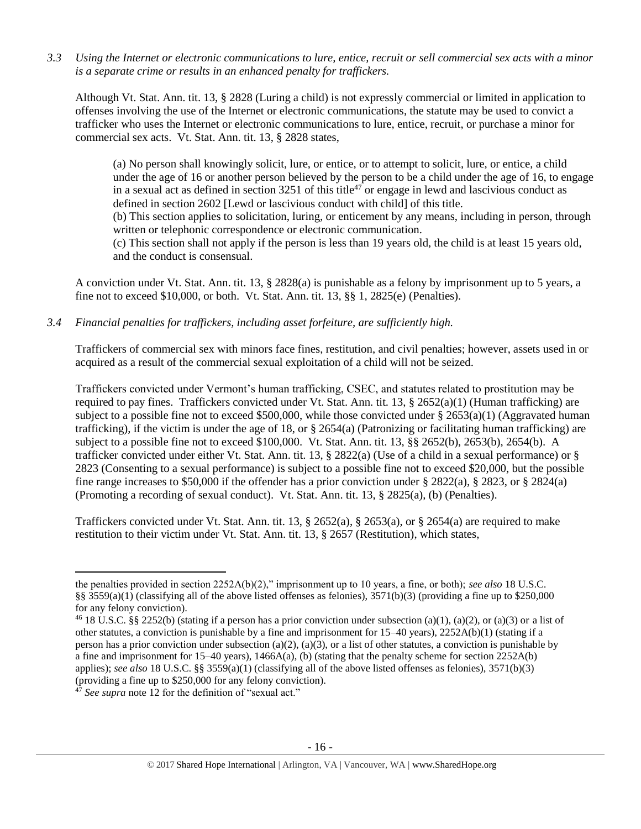*3.3 Using the Internet or electronic communications to lure, entice, recruit or sell commercial sex acts with a minor is a separate crime or results in an enhanced penalty for traffickers.*

Although Vt. Stat. Ann. tit. 13, § 2828 (Luring a child) is not expressly commercial or limited in application to offenses involving the use of the Internet or electronic communications, the statute may be used to convict a trafficker who uses the Internet or electronic communications to lure, entice, recruit, or purchase a minor for commercial sex acts. Vt. Stat. Ann. tit. 13, § 2828 states,

(a) No person shall knowingly solicit, lure, or entice, or to attempt to solicit, lure, or entice, a child under the age of 16 or another person believed by the person to be a child under the age of 16, to engage in a sexual act as defined in section 3251 of this title<sup>47</sup> or engage in lewd and lascivious conduct as defined in section 2602 [Lewd or lascivious conduct with child] of this title.

(b) This section applies to solicitation, luring, or enticement by any means, including in person, through written or telephonic correspondence or electronic communication.

(c) This section shall not apply if the person is less than 19 years old, the child is at least 15 years old, and the conduct is consensual.

A conviction under Vt. Stat. Ann. tit. 13, § 2828(a) is punishable as a felony by imprisonment up to 5 years, a fine not to exceed  $$10,000$ , or both. Vt. Stat. Ann. tit. 13,  $\S$  $$1,2825$ (e) (Penalties).

*3.4 Financial penalties for traffickers, including asset forfeiture, are sufficiently high.*

Traffickers of commercial sex with minors face fines, restitution, and civil penalties; however, assets used in or acquired as a result of the commercial sexual exploitation of a child will not be seized.

Traffickers convicted under Vermont's human trafficking, CSEC, and statutes related to prostitution may be required to pay fines. Traffickers convicted under Vt. Stat. Ann. tit. 13,  $\S$  2652(a)(1) (Human trafficking) are subject to a possible fine not to exceed \$500,000, while those convicted under  $\S 2653(a)(1)$  (Aggravated human trafficking), if the victim is under the age of 18, or  $\S$  2654(a) (Patronizing or facilitating human trafficking) are subject to a possible fine not to exceed \$100,000. Vt. Stat. Ann. tit. 13, §§ 2652(b), 2653(b), 2654(b). A trafficker convicted under either Vt. Stat. Ann. tit. 13, § 2822(a) (Use of a child in a sexual performance) or § 2823 (Consenting to a sexual performance) is subject to a possible fine not to exceed \$20,000, but the possible fine range increases to \$50,000 if the offender has a prior conviction under § 2822(a), § 2823, or § 2824(a) (Promoting a recording of sexual conduct). Vt. Stat. Ann. tit. 13, § 2825(a), (b) (Penalties).

Traffickers convicted under Vt. Stat. Ann. tit. 13, § 2652(a), § 2653(a), or § 2654(a) are required to make restitution to their victim under Vt. Stat. Ann. tit. 13, § 2657 (Restitution), which states,

 $\overline{a}$ 

the penalties provided in section 2252A(b)(2)," imprisonment up to 10 years, a fine, or both); *see also* 18 U.S.C. §§ 3559(a)(1) (classifying all of the above listed offenses as felonies),  $3571(b)(3)$  (providing a fine up to \$250,000 for any felony conviction).

<sup>&</sup>lt;sup>46</sup> 18 U.S.C. §§ 2252(b) (stating if a person has a prior conviction under subsection (a)(1), (a)(2), or (a)(3) or a list of other statutes, a conviction is punishable by a fine and imprisonment for 15–40 years), 2252A(b)(1) (stating if a person has a prior conviction under subsection (a)(2), (a)(3), or a list of other statutes, a conviction is punishable by a fine and imprisonment for  $15-40$  years),  $1466A(a)$ , (b) (stating that the penalty scheme for section  $2252A(b)$ applies); *see also* 18 U.S.C. §§ 3559(a)(1) (classifying all of the above listed offenses as felonies), 3571(b)(3) (providing a fine up to \$250,000 for any felony conviction).

<sup>&</sup>lt;sup>47</sup> See supra note [12](#page-3-0) for the definition of "sexual act."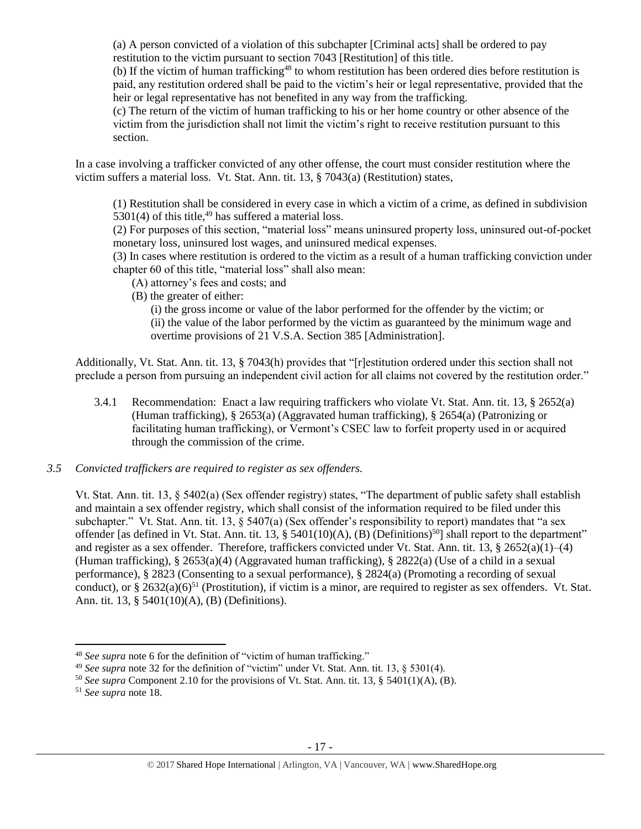(a) A person convicted of a violation of this subchapter [Criminal acts] shall be ordered to pay restitution to the victim pursuant to section 7043 [Restitution] of this title.

(b) If the victim of human trafficking<sup>48</sup> to whom restitution has been ordered dies before restitution is paid, any restitution ordered shall be paid to the victim's heir or legal representative, provided that the heir or legal representative has not benefited in any way from the trafficking.

(c) The return of the victim of human trafficking to his or her home country or other absence of the victim from the jurisdiction shall not limit the victim's right to receive restitution pursuant to this section.

In a case involving a trafficker convicted of any other offense, the court must consider restitution where the victim suffers a material loss. Vt. Stat. Ann. tit. 13, § 7043(a) (Restitution) states,

(1) Restitution shall be considered in every case in which a victim of a crime, as defined in subdivision 5301(4) of this title,  $49$  has suffered a material loss.

(2) For purposes of this section, "material loss" means uninsured property loss, uninsured out-of-pocket monetary loss, uninsured lost wages, and uninsured medical expenses.

(3) In cases where restitution is ordered to the victim as a result of a human trafficking conviction under chapter 60 of this title, "material loss" shall also mean:

- (A) attorney's fees and costs; and
- (B) the greater of either:

(i) the gross income or value of the labor performed for the offender by the victim; or (ii) the value of the labor performed by the victim as guaranteed by the minimum wage and overtime provisions of 21 V.S.A. Section 385 [Administration].

Additionally, Vt. Stat. Ann. tit. 13, § 7043(h) provides that "[r]estitution ordered under this section shall not preclude a person from pursuing an independent civil action for all claims not covered by the restitution order."

3.4.1 Recommendation: Enact a law requiring traffickers who violate Vt. Stat. Ann. tit. 13, § 2652(a) (Human trafficking), § 2653(a) (Aggravated human trafficking), § 2654(a) (Patronizing or facilitating human trafficking), or Vermont's CSEC law to forfeit property used in or acquired through the commission of the crime.

# *3.5 Convicted traffickers are required to register as sex offenders.*

Vt. Stat. Ann. tit. 13, § 5402(a) (Sex offender registry) states, "The department of public safety shall establish and maintain a sex offender registry, which shall consist of the information required to be filed under this subchapter." Vt. Stat. Ann. tit. 13, § 5407(a) (Sex offender's responsibility to report) mandates that "a sex offender [as defined in Vt. Stat. Ann. tit. 13, § 5401(10)(A), (B) (Definitions)<sup>50</sup>] shall report to the department" and register as a sex offender. Therefore, traffickers convicted under Vt. Stat. Ann. tit. 13, § 2652(a)(1)–(4) (Human trafficking), § 2653(a)(4) (Aggravated human trafficking), § 2822(a) (Use of a child in a sexual performance), § 2823 (Consenting to a sexual performance), § 2824(a) (Promoting a recording of sexual conduct), or  $\S 2632(a)(6)^{51}$  (Prostitution), if victim is a minor, are required to register as sex offenders. Vt. Stat. Ann. tit. 13, § 5401(10)(A), (B) (Definitions).

l

<sup>48</sup> *See supra* note [6](#page-1-0) for the definition of "victim of human trafficking."

<sup>49</sup> *See supra* note [32](#page-10-0) for the definition of "victim" under Vt. Stat. Ann. tit. 13, § 5301(4).

<sup>50</sup> *See supra* Component 2.10 for the provisions of Vt. Stat. Ann. tit. 13, § 5401(1)(A), (B).

<sup>51</sup> *See supra* note [18.](#page-5-0)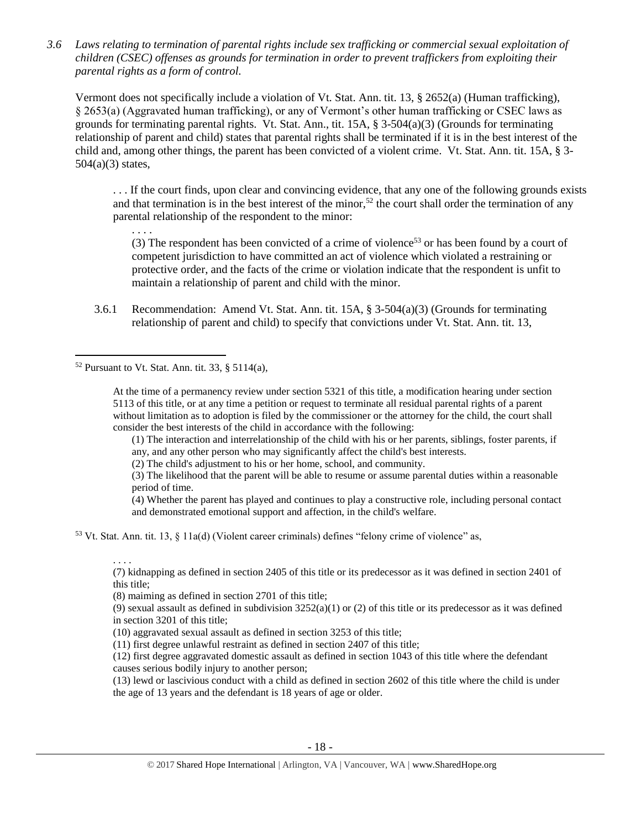*3.6 Laws relating to termination of parental rights include sex trafficking or commercial sexual exploitation of children (CSEC) offenses as grounds for termination in order to prevent traffickers from exploiting their parental rights as a form of control.* 

Vermont does not specifically include a violation of Vt. Stat. Ann. tit. 13, § 2652(a) (Human trafficking), § 2653(a) (Aggravated human trafficking), or any of Vermont's other human trafficking or CSEC laws as grounds for terminating parental rights. Vt. Stat. Ann., tit.  $15A$ , §  $3-504(a)(3)$  (Grounds for terminating relationship of parent and child) states that parental rights shall be terminated if it is in the best interest of the child and, among other things, the parent has been convicted of a violent crime. Vt. Stat. Ann. tit. 15A, § 3- 504(a)(3) states,

. . . If the court finds, upon clear and convincing evidence, that any one of the following grounds exists and that termination is in the best interest of the minor,<sup>52</sup> the court shall order the termination of any parental relationship of the respondent to the minor:

(3) The respondent has been convicted of a crime of violence<sup>53</sup> or has been found by a court of competent jurisdiction to have committed an act of violence which violated a restraining or protective order, and the facts of the crime or violation indicate that the respondent is unfit to maintain a relationship of parent and child with the minor.

3.6.1 Recommendation: Amend Vt. Stat. Ann. tit. 15A, § 3-504(a)(3) (Grounds for terminating relationship of parent and child) to specify that convictions under Vt. Stat. Ann. tit. 13,

 $52$  Pursuant to Vt. Stat. Ann. tit. 33, § 5114(a),

. . . .

. . . .

 $\overline{a}$ 

At the time of a permanency review under section 5321 of this title, a modification hearing under section 5113 of this title, or at any time a petition or request to terminate all residual parental rights of a parent without limitation as to adoption is filed by the commissioner or the attorney for the child, the court shall consider the best interests of the child in accordance with the following:

(1) The interaction and interrelationship of the child with his or her parents, siblings, foster parents, if any, and any other person who may significantly affect the child's best interests.

(2) The child's adjustment to his or her home, school, and community.

(3) The likelihood that the parent will be able to resume or assume parental duties within a reasonable period of time.

(4) Whether the parent has played and continues to play a constructive role, including personal contact and demonstrated emotional support and affection, in the child's welfare.

<sup>53</sup> Vt. Stat. Ann. tit. 13, § 11a(d) (Violent career criminals) defines "felony crime of violence" as,

(7) kidnapping as defined in section 2405 of this title or its predecessor as it was defined in section 2401 of this title;

(8) maiming as defined in section 2701 of this title;

(9) sexual assault as defined in subdivision  $3252(a)(1)$  or (2) of this title or its predecessor as it was defined in section 3201 of this title;

(10) aggravated sexual assault as defined in section 3253 of this title;

(11) first degree unlawful restraint as defined in section 2407 of this title;

(12) first degree aggravated domestic assault as defined in section 1043 of this title where the defendant causes serious bodily injury to another person;

(13) lewd or lascivious conduct with a child as defined in section 2602 of this title where the child is under the age of 13 years and the defendant is 18 years of age or older.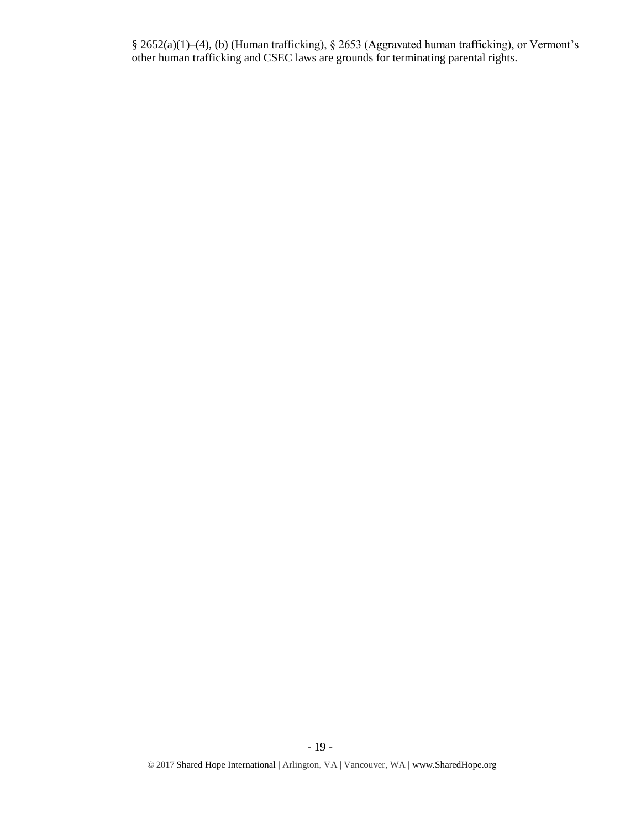§ 2652(a)(1)–(4), (b) (Human trafficking), § 2653 (Aggravated human trafficking), or Vermont's other human trafficking and CSEC laws are grounds for terminating parental rights.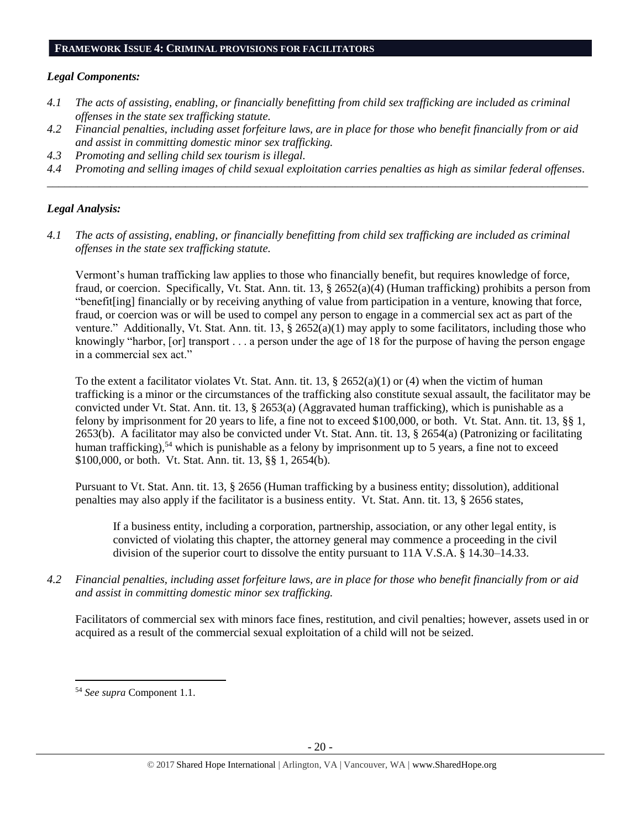#### **FRAMEWORK ISSUE 4: CRIMINAL PROVISIONS FOR FACILITATORS**

#### *Legal Components:*

- *4.1 The acts of assisting, enabling, or financially benefitting from child sex trafficking are included as criminal offenses in the state sex trafficking statute.*
- *4.2 Financial penalties, including asset forfeiture laws, are in place for those who benefit financially from or aid and assist in committing domestic minor sex trafficking.*
- *4.3 Promoting and selling child sex tourism is illegal.*
- *4.4 Promoting and selling images of child sexual exploitation carries penalties as high as similar federal offenses. \_\_\_\_\_\_\_\_\_\_\_\_\_\_\_\_\_\_\_\_\_\_\_\_\_\_\_\_\_\_\_\_\_\_\_\_\_\_\_\_\_\_\_\_\_\_\_\_\_\_\_\_\_\_\_\_\_\_\_\_\_\_\_\_\_\_\_\_\_\_\_\_\_\_\_\_\_\_\_\_\_\_\_\_\_\_\_\_\_\_\_\_\_\_*

#### *Legal Analysis:*

*4.1 The acts of assisting, enabling, or financially benefitting from child sex trafficking are included as criminal offenses in the state sex trafficking statute.*

Vermont's human trafficking law applies to those who financially benefit, but requires knowledge of force, fraud, or coercion. Specifically, Vt. Stat. Ann. tit. 13, § 2652(a)(4) (Human trafficking) prohibits a person from "benefit[ing] financially or by receiving anything of value from participation in a venture, knowing that force, fraud, or coercion was or will be used to compel any person to engage in a commercial sex act as part of the venture." Additionally, Vt. Stat. Ann. tit. 13,  $\S 2652(a)(1)$  may apply to some facilitators, including those who knowingly "harbor, [or] transport . . . a person under the age of 18 for the purpose of having the person engage in a commercial sex act."

To the extent a facilitator violates Vt. Stat. Ann. tit. 13,  $\S$  2652(a)(1) or (4) when the victim of human trafficking is a minor or the circumstances of the trafficking also constitute sexual assault, the facilitator may be convicted under Vt. Stat. Ann. tit. 13, § 2653(a) (Aggravated human trafficking), which is punishable as a felony by imprisonment for 20 years to life, a fine not to exceed \$100,000, or both. Vt. Stat. Ann. tit. 13, §§ 1, 2653(b). A facilitator may also be convicted under Vt. Stat. Ann. tit. 13, § 2654(a) (Patronizing or facilitating human trafficking),<sup>54</sup> which is punishable as a felony by imprisonment up to 5 years, a fine not to exceed \$100,000, or both. Vt. Stat. Ann. tit. 13, §§ 1, 2654(b).

Pursuant to Vt. Stat. Ann. tit. 13, § 2656 (Human trafficking by a business entity; dissolution), additional penalties may also apply if the facilitator is a business entity. Vt. Stat. Ann. tit. 13, § 2656 states,

If a business entity, including a corporation, partnership, association, or any other legal entity, is convicted of violating this chapter, the attorney general may commence a proceeding in the civil division of the superior court to dissolve the entity pursuant to 11A V.S.A. § 14.30–14.33.

*4.2 Financial penalties, including asset forfeiture laws, are in place for those who benefit financially from or aid and assist in committing domestic minor sex trafficking.*

Facilitators of commercial sex with minors face fines, restitution, and civil penalties; however, assets used in or acquired as a result of the commercial sexual exploitation of a child will not be seized.

 $\overline{a}$ <sup>54</sup> *See supra* Component 1.1.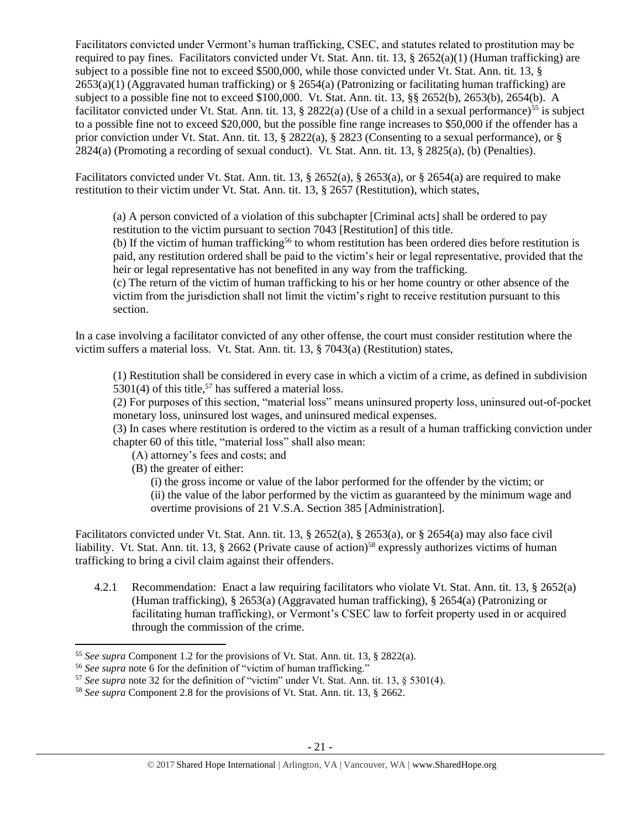Facilitators convicted under Vermont's human trafficking, CSEC, and statutes related to prostitution may be required to pay fines. Facilitators convicted under Vt. Stat. Ann. tit. 13,  $\S$  2652(a)(1) (Human trafficking) are subject to a possible fine not to exceed \$500,000, while those convicted under Vt. Stat. Ann. tit. 13, §  $2653(a)(1)$  (Aggravated human trafficking) or § 2654(a) (Patronizing or facilitating human trafficking) are subject to a possible fine not to exceed \$100,000. Vt. Stat. Ann. tit. 13, §§ 2652(b), 2653(b), 2654(b). A facilitator convicted under Vt. Stat. Ann. tit. 13, § 2822(a) (Use of a child in a sexual performance)<sup>55</sup> is subject to a possible fine not to exceed \$20,000, but the possible fine range increases to \$50,000 if the offender has a prior conviction under Vt. Stat. Ann. tit. 13, § 2822(a), § 2823 (Consenting to a sexual performance), or § 2824(a) (Promoting a recording of sexual conduct). Vt. Stat. Ann. tit. 13, § 2825(a), (b) (Penalties).

Facilitators convicted under Vt. Stat. Ann. tit. 13, § 2652(a), § 2653(a), or § 2654(a) are required to make restitution to their victim under Vt. Stat. Ann. tit. 13, § 2657 (Restitution), which states,

(a) A person convicted of a violation of this subchapter [Criminal acts] shall be ordered to pay restitution to the victim pursuant to section 7043 [Restitution] of this title.

(b) If the victim of human trafficking<sup>56</sup> to whom restitution has been ordered dies before restitution is paid, any restitution ordered shall be paid to the victim's heir or legal representative, provided that the heir or legal representative has not benefited in any way from the trafficking.

(c) The return of the victim of human trafficking to his or her home country or other absence of the victim from the jurisdiction shall not limit the victim's right to receive restitution pursuant to this section.

In a case involving a facilitator convicted of any other offense, the court must consider restitution where the victim suffers a material loss. Vt. Stat. Ann. tit. 13, § 7043(a) (Restitution) states,

(1) Restitution shall be considered in every case in which a victim of a crime, as defined in subdivision 5301(4) of this title,<sup>57</sup> has suffered a material loss.

(2) For purposes of this section, "material loss" means uninsured property loss, uninsured out-of-pocket monetary loss, uninsured lost wages, and uninsured medical expenses.

(3) In cases where restitution is ordered to the victim as a result of a human trafficking conviction under chapter 60 of this title, "material loss" shall also mean:

- (A) attorney's fees and costs; and
- (B) the greater of either:

l

(i) the gross income or value of the labor performed for the offender by the victim; or (ii) the value of the labor performed by the victim as guaranteed by the minimum wage and overtime provisions of 21 V.S.A. Section 385 [Administration].

Facilitators convicted under Vt. Stat. Ann. tit. 13, § 2652(a), § 2653(a), or § 2654(a) may also face civil liability. Vt. Stat. Ann. tit. 13, § 2662 (Private cause of action)<sup>58</sup> expressly authorizes victims of human trafficking to bring a civil claim against their offenders.

4.2.1 Recommendation: Enact a law requiring facilitators who violate Vt. Stat. Ann. tit. 13, § 2652(a) (Human trafficking), § 2653(a) (Aggravated human trafficking), § 2654(a) (Patronizing or facilitating human trafficking), or Vermont's CSEC law to forfeit property used in or acquired through the commission of the crime.

<sup>55</sup> *See supra* Component 1.2 for the provisions of Vt. Stat. Ann. tit. 13, § 2822(a).

<sup>56</sup> *See supra* note [6](#page-1-0) for the definition of "victim of human trafficking."

<sup>57</sup> *See supra* note [32](#page-10-0) for the definition of "victim" under Vt. Stat. Ann. tit. 13, § 5301(4).

<sup>58</sup> *See supra* Component 2.8 for the provisions of Vt. Stat. Ann. tit. 13, § 2662.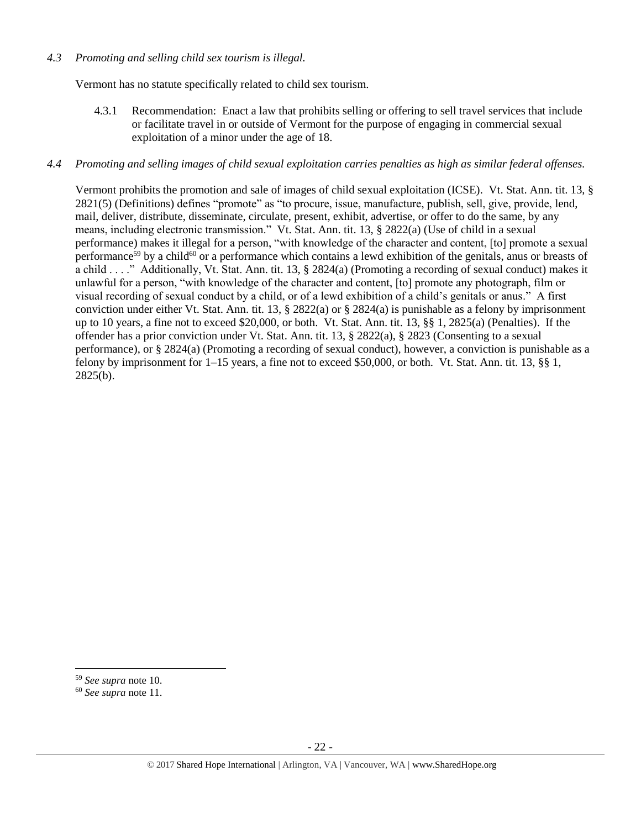#### *4.3 Promoting and selling child sex tourism is illegal.*

Vermont has no statute specifically related to child sex tourism.

4.3.1 Recommendation: Enact a law that prohibits selling or offering to sell travel services that include or facilitate travel in or outside of Vermont for the purpose of engaging in commercial sexual exploitation of a minor under the age of 18.

#### *4.4 Promoting and selling images of child sexual exploitation carries penalties as high as similar federal offenses.*

Vermont prohibits the promotion and sale of images of child sexual exploitation (ICSE). Vt. Stat. Ann. tit. 13, § 2821(5) (Definitions) defines "promote" as "to procure, issue, manufacture, publish, sell, give, provide, lend, mail, deliver, distribute, disseminate, circulate, present, exhibit, advertise, or offer to do the same, by any means, including electronic transmission." Vt. Stat. Ann. tit. 13, § 2822(a) (Use of child in a sexual performance) makes it illegal for a person, "with knowledge of the character and content, [to] promote a sexual performance<sup>59</sup> by a child<sup>60</sup> or a performance which contains a lewd exhibition of the genitals, anus or breasts of a child . . . ." Additionally, Vt. Stat. Ann. tit. 13, § 2824(a) (Promoting a recording of sexual conduct) makes it unlawful for a person, "with knowledge of the character and content, [to] promote any photograph, film or visual recording of sexual conduct by a child, or of a lewd exhibition of a child's genitals or anus." A first conviction under either Vt. Stat. Ann. tit. 13, § 2822(a) or § 2824(a) is punishable as a felony by imprisonment up to 10 years, a fine not to exceed \$20,000, or both. Vt. Stat. Ann. tit. 13, §§ 1, 2825(a) (Penalties). If the offender has a prior conviction under Vt. Stat. Ann. tit. 13, § 2822(a), § 2823 (Consenting to a sexual performance), or § 2824(a) (Promoting a recording of sexual conduct), however, a conviction is punishable as a felony by imprisonment for 1–15 years, a fine not to exceed \$50,000, or both. Vt. Stat. Ann. tit. 13, §§ 1, 2825(b).

<sup>59</sup> *See supra* note [10.](#page-2-1) 

<sup>60</sup> *See supra* note [11.](#page-2-0)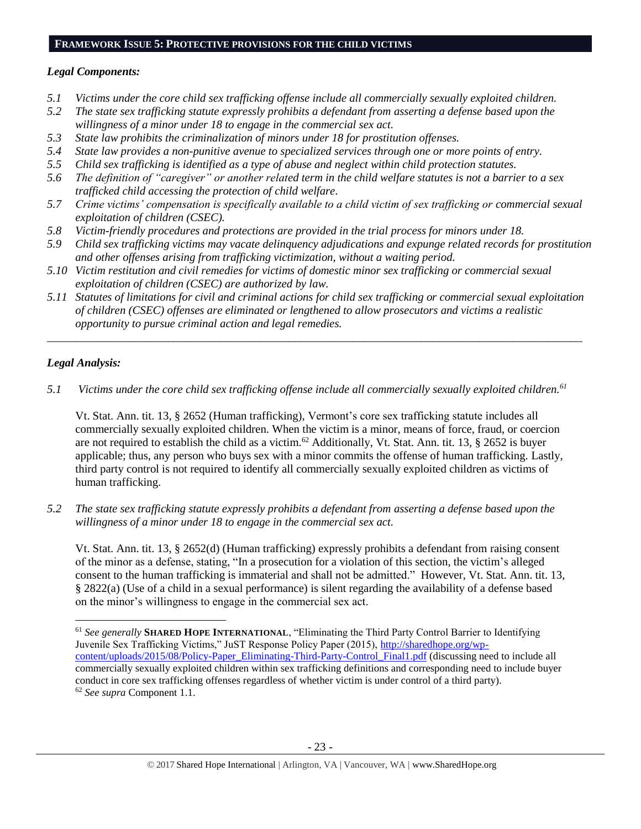### **FRAMEWORK ISSUE 5: PROTECTIVE PROVISIONS FOR THE CHILD VICTIMS**

# *Legal Components:*

- *5.1 Victims under the core child sex trafficking offense include all commercially sexually exploited children.*
- *5.2 The state sex trafficking statute expressly prohibits a defendant from asserting a defense based upon the willingness of a minor under 18 to engage in the commercial sex act.*
- *5.3 State law prohibits the criminalization of minors under 18 for prostitution offenses.*
- *5.4 State law provides a non-punitive avenue to specialized services through one or more points of entry.*
- *5.5 Child sex trafficking is identified as a type of abuse and neglect within child protection statutes.*
- *5.6 The definition of "caregiver" or another related term in the child welfare statutes is not a barrier to a sex trafficked child accessing the protection of child welfare.*
- *5.7 Crime victims' compensation is specifically available to a child victim of sex trafficking or commercial sexual exploitation of children (CSEC).*
- *5.8 Victim-friendly procedures and protections are provided in the trial process for minors under 18.*
- *5.9 Child sex trafficking victims may vacate delinquency adjudications and expunge related records for prostitution and other offenses arising from trafficking victimization, without a waiting period.*
- *5.10 Victim restitution and civil remedies for victims of domestic minor sex trafficking or commercial sexual exploitation of children (CSEC) are authorized by law.*
- *5.11 Statutes of limitations for civil and criminal actions for child sex trafficking or commercial sexual exploitation of children (CSEC) offenses are eliminated or lengthened to allow prosecutors and victims a realistic opportunity to pursue criminal action and legal remedies.*

*\_\_\_\_\_\_\_\_\_\_\_\_\_\_\_\_\_\_\_\_\_\_\_\_\_\_\_\_\_\_\_\_\_\_\_\_\_\_\_\_\_\_\_\_\_\_\_\_\_\_\_\_\_\_\_\_\_\_\_\_\_\_\_\_\_\_\_\_\_\_\_\_\_\_\_\_\_\_\_\_\_\_\_\_\_\_\_\_\_\_\_\_\_*

# *Legal Analysis:*

 $\overline{\phantom{a}}$ 

*5.1 Victims under the core child sex trafficking offense include all commercially sexually exploited children.<sup>61</sup>*

Vt. Stat. Ann. tit. 13, § 2652 (Human trafficking), Vermont's core sex trafficking statute includes all commercially sexually exploited children. When the victim is a minor, means of force, fraud, or coercion are not required to establish the child as a victim.<sup>62</sup> Additionally, Vt. Stat. Ann. tit. 13, § 2652 is buyer applicable; thus, any person who buys sex with a minor commits the offense of human trafficking. Lastly, third party control is not required to identify all commercially sexually exploited children as victims of human trafficking.

*5.2 The state sex trafficking statute expressly prohibits a defendant from asserting a defense based upon the willingness of a minor under 18 to engage in the commercial sex act.* 

Vt. Stat. Ann. tit. 13, § 2652(d) (Human trafficking) expressly prohibits a defendant from raising consent of the minor as a defense, stating, "In a prosecution for a violation of this section, the victim's alleged consent to the human trafficking is immaterial and shall not be admitted." However, Vt. Stat. Ann. tit. 13, § 2822(a) (Use of a child in a sexual performance) is silent regarding the availability of a defense based on the minor's willingness to engage in the commercial sex act.

<sup>61</sup> *See generally* **SHARED HOPE INTERNATIONAL**, "Eliminating the Third Party Control Barrier to Identifying Juvenile Sex Trafficking Victims," JuST Response Policy Paper (2015), [http://sharedhope.org/wp](http://sharedhope.org/wp-content/uploads/2015/08/Policy-Paper_Eliminating-Third-Party-Control_Final1.pdf)[content/uploads/2015/08/Policy-Paper\\_Eliminating-Third-Party-Control\\_Final1.pdf](http://sharedhope.org/wp-content/uploads/2015/08/Policy-Paper_Eliminating-Third-Party-Control_Final1.pdf) (discussing need to include all commercially sexually exploited children within sex trafficking definitions and corresponding need to include buyer conduct in core sex trafficking offenses regardless of whether victim is under control of a third party). <sup>62</sup> *See supra* Component 1.1.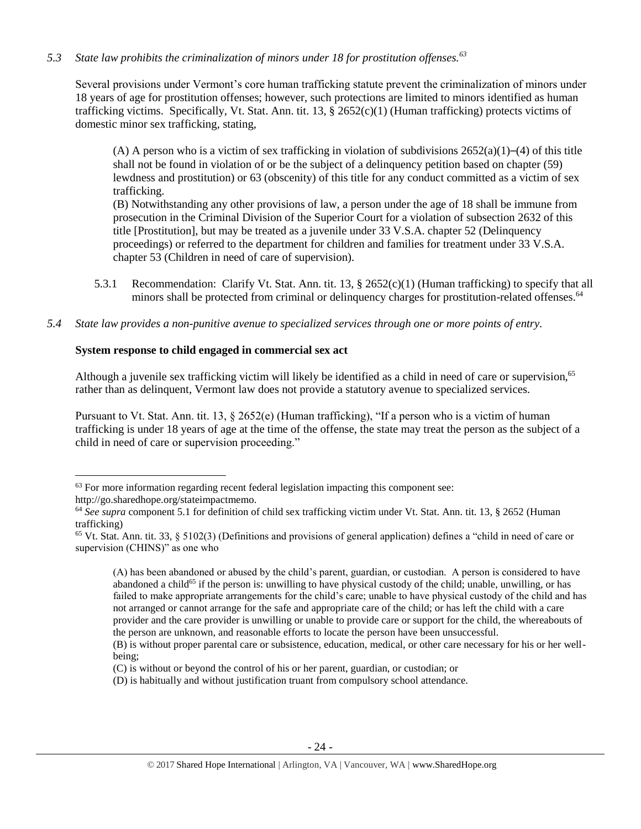# *5.3 State law prohibits the criminalization of minors under 18 for prostitution offenses.<sup>63</sup>*

Several provisions under Vermont's core human trafficking statute prevent the criminalization of minors under 18 years of age for prostitution offenses; however, such protections are limited to minors identified as human trafficking victims. Specifically, Vt. Stat. Ann. tit. 13, § 2652(c)(1) (Human trafficking) protects victims of domestic minor sex trafficking, stating,

(A) A person who is a victim of sex trafficking in violation of subdivisions  $2652(a)(1)–(4)$  of this title shall not be found in violation of or be the subject of a delinquency petition based on chapter (59) lewdness and prostitution) or 63 (obscenity) of this title for any conduct committed as a victim of sex trafficking.

(B) Notwithstanding any other provisions of law, a person under the age of 18 shall be immune from prosecution in the Criminal Division of the Superior Court for a violation of subsection 2632 of this title [Prostitution], but may be treated as a juvenile under 33 V.S.A. chapter 52 (Delinquency proceedings) or referred to the department for children and families for treatment under 33 V.S.A. chapter 53 (Children in need of care of supervision).

- 5.3.1 Recommendation: Clarify Vt. Stat. Ann. tit. 13, § 2652(c)(1) (Human trafficking) to specify that all minors shall be protected from criminal or delinquency charges for prostitution-related offenses.<sup>64</sup>
- *5.4 State law provides a non-punitive avenue to specialized services through one or more points of entry.*

# **System response to child engaged in commercial sex act**

Although a juvenile sex trafficking victim will likely be identified as a child in need of care or supervision,<sup>65</sup> rather than as delinquent, Vermont law does not provide a statutory avenue to specialized services.

Pursuant to Vt. Stat. Ann. tit. 13, § 2652(e) (Human trafficking), "If a person who is a victim of human trafficking is under 18 years of age at the time of the offense, the state may treat the person as the subject of a child in need of care or supervision proceeding."

<sup>&</sup>lt;sup>63</sup> For more information regarding recent federal legislation impacting this component see:

http://go.sharedhope.org/stateimpactmemo.

<sup>64</sup> *See supra* component 5.1 for definition of child sex trafficking victim under Vt. Stat. Ann. tit. 13, § 2652 (Human trafficking)

<sup>65</sup> Vt. Stat. Ann. tit. 33, § 5102(3) (Definitions and provisions of general application) defines a "child in need of care or supervision (CHINS)" as one who

<sup>(</sup>A) has been abandoned or abused by the child's parent, guardian, or custodian. A person is considered to have abandoned a child<sup>65</sup> if the person is: unwilling to have physical custody of the child; unable, unwilling, or has failed to make appropriate arrangements for the child's care; unable to have physical custody of the child and has not arranged or cannot arrange for the safe and appropriate care of the child; or has left the child with a care provider and the care provider is unwilling or unable to provide care or support for the child, the whereabouts of the person are unknown, and reasonable efforts to locate the person have been unsuccessful.

<sup>(</sup>B) is without proper parental care or subsistence, education, medical, or other care necessary for his or her wellbeing;

<sup>(</sup>C) is without or beyond the control of his or her parent, guardian, or custodian; or

<sup>(</sup>D) is habitually and without justification truant from compulsory school attendance.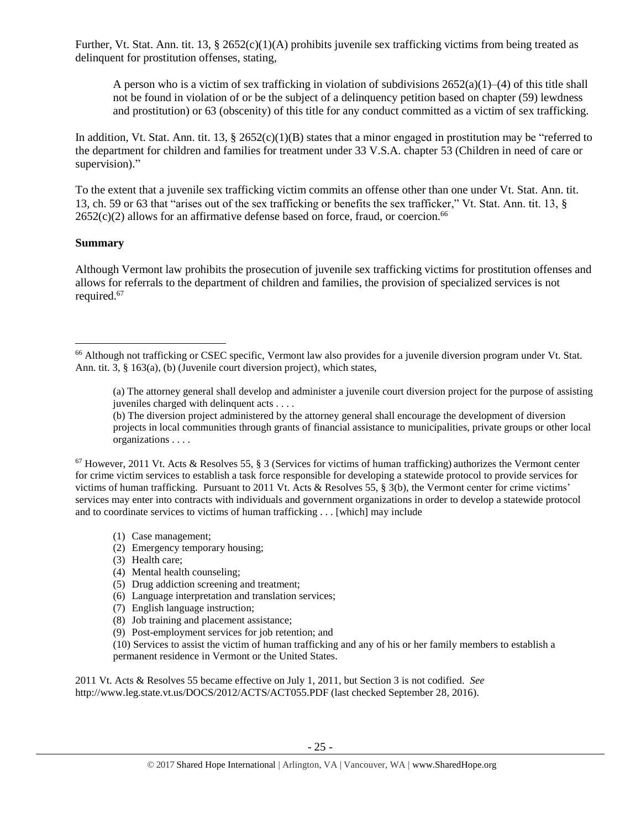Further, Vt. Stat. Ann. tit. 13, § 2652(c)(1)(A) prohibits juvenile sex trafficking victims from being treated as delinquent for prostitution offenses, stating,

A person who is a victim of sex trafficking in violation of subdivisions  $2652(a)(1)–(4)$  of this title shall not be found in violation of or be the subject of a delinquency petition based on chapter (59) lewdness and prostitution) or 63 (obscenity) of this title for any conduct committed as a victim of sex trafficking.

In addition, Vt. Stat. Ann. tit. 13, § 2652(c)(1)(B) states that a minor engaged in prostitution may be "referred to the department for children and families for treatment under 33 V.S.A. chapter 53 (Children in need of care or supervision)."

To the extent that a juvenile sex trafficking victim commits an offense other than one under Vt. Stat. Ann. tit. 13, ch. 59 or 63 that "arises out of the sex trafficking or benefits the sex trafficker," Vt. Stat. Ann. tit. 13, §  $2652(c)(2)$  allows for an affirmative defense based on force, fraud, or coercion.<sup>66</sup>

### **Summary**

 $\overline{\phantom{a}}$ 

Although Vermont law prohibits the prosecution of juvenile sex trafficking victims for prostitution offenses and allows for referrals to the department of children and families, the provision of specialized services is not required. 67

- (1) Case management;
- (2) Emergency temporary housing;
- (3) Health care;
- (4) Mental health counseling;
- (5) Drug addiction screening and treatment;
- (6) Language interpretation and translation services;
- (7) English language instruction;
- (8) Job training and placement assistance;
- (9) Post-employment services for job retention; and

(10) Services to assist the victim of human trafficking and any of his or her family members to establish a permanent residence in Vermont or the United States.

2011 Vt. Acts & Resolves 55 became effective on July 1, 2011, but Section 3 is not codified. *See* http://www.leg.state.vt.us/DOCS/2012/ACTS/ACT055.PDF (last checked September 28, 2016).

<sup>66</sup> Although not trafficking or CSEC specific, Vermont law also provides for a juvenile diversion program under Vt. Stat. Ann. tit. 3, § 163(a), (b) (Juvenile court diversion project), which states,

<sup>(</sup>a) The attorney general shall develop and administer a juvenile court diversion project for the purpose of assisting juveniles charged with delinquent acts . . . .

<sup>(</sup>b) The diversion project administered by the attorney general shall encourage the development of diversion projects in local communities through grants of financial assistance to municipalities, private groups or other local organizations . . . .

 $67$  However, 2011 Vt. Acts & Resolves 55, § 3 (Services for victims of human trafficking) authorizes the Vermont center for crime victim services to establish a task force responsible for developing a statewide protocol to provide services for victims of human trafficking. Pursuant to 2011 Vt. Acts & Resolves 55, § 3(b), the Vermont center for crime victims' services may enter into contracts with individuals and government organizations in order to develop a statewide protocol and to coordinate services to victims of human trafficking . . . [which] may include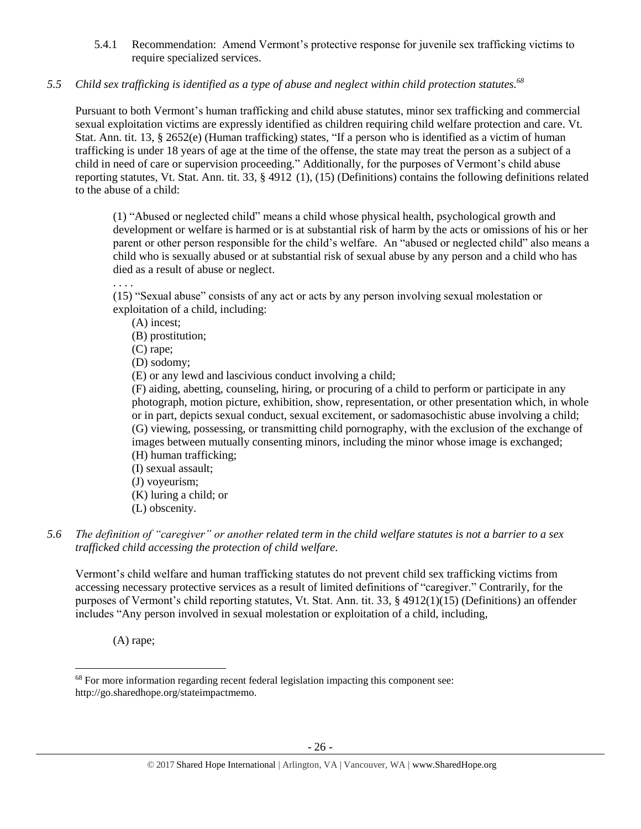5.4.1 Recommendation: Amend Vermont's protective response for juvenile sex trafficking victims to require specialized services.

# *5.5 Child sex trafficking is identified as a type of abuse and neglect within child protection statutes. 68*

Pursuant to both Vermont's human trafficking and child abuse statutes, minor sex trafficking and commercial sexual exploitation victims are expressly identified as children requiring child welfare protection and care. Vt. Stat. Ann. tit. 13, § 2652(e) (Human trafficking) states, "If a person who is identified as a victim of human trafficking is under 18 years of age at the time of the offense, the state may treat the person as a subject of a child in need of care or supervision proceeding." Additionally, for the purposes of Vermont's child abuse reporting statutes, Vt. Stat. Ann. tit. 33, § 4912 (1), (15) (Definitions) contains the following definitions related to the abuse of a child:

(1) "Abused or neglected child" means a child whose physical health, psychological growth and development or welfare is harmed or is at substantial risk of harm by the acts or omissions of his or her parent or other person responsible for the child's welfare. An "abused or neglected child" also means a child who is sexually abused or at substantial risk of sexual abuse by any person and a child who has died as a result of abuse or neglect. . . . .

(15) "Sexual abuse" consists of any act or acts by any person involving sexual molestation or exploitation of a child, including:

(A) incest;

(B) prostitution;

(C) rape;

(D) sodomy;

(E) or any lewd and lascivious conduct involving a child;

(F) aiding, abetting, counseling, hiring, or procuring of a child to perform or participate in any photograph, motion picture, exhibition, show, representation, or other presentation which, in whole or in part, depicts sexual conduct, sexual excitement, or sadomasochistic abuse involving a child; (G) viewing, possessing, or transmitting child pornography, with the exclusion of the exchange of images between mutually consenting minors, including the minor whose image is exchanged; (H) human trafficking;

- (I) sexual assault;
- (J) voyeurism;
- (K) luring a child; or
- (L) obscenity.

### *5.6 The definition of "caregiver" or another related term in the child welfare statutes is not a barrier to a sex trafficked child accessing the protection of child welfare.*

Vermont's child welfare and human trafficking statutes do not prevent child sex trafficking victims from accessing necessary protective services as a result of limited definitions of "caregiver." Contrarily, for the purposes of Vermont's child reporting statutes, Vt. Stat. Ann. tit. 33, § 4912(1)(15) (Definitions) an offender includes "Any person involved in sexual molestation or exploitation of a child, including,

(A) rape;

<sup>&</sup>lt;sup>68</sup> For more information regarding recent federal legislation impacting this component see: http://go.sharedhope.org/stateimpactmemo.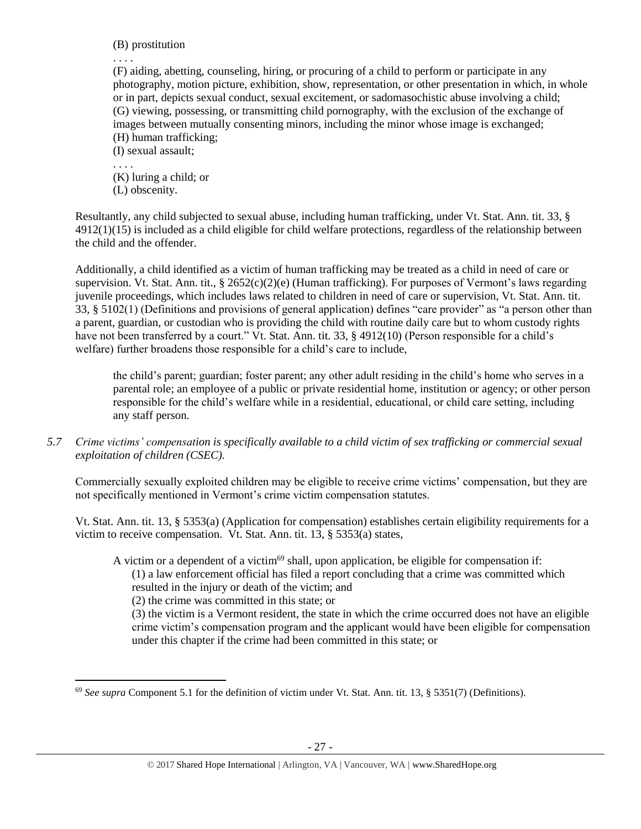(B) prostitution

. . . .

(F) aiding, abetting, counseling, hiring, or procuring of a child to perform or participate in any photography, motion picture, exhibition, show, representation, or other presentation in which, in whole or in part, depicts sexual conduct, sexual excitement, or sadomasochistic abuse involving a child; (G) viewing, possessing, or transmitting child pornography, with the exclusion of the exchange of images between mutually consenting minors, including the minor whose image is exchanged; (H) human trafficking;

(I) sexual assault;

. . . . (K) luring a child; or

(L) obscenity.

Resultantly, any child subjected to sexual abuse, including human trafficking, under Vt. Stat. Ann. tit. 33, § 4912(1)(15) is included as a child eligible for child welfare protections, regardless of the relationship between the child and the offender.

Additionally, a child identified as a victim of human trafficking may be treated as a child in need of care or supervision. Vt. Stat. Ann. tit., § 2652(c)(2)(e) (Human trafficking). For purposes of Vermont's laws regarding juvenile proceedings, which includes laws related to children in need of care or supervision, Vt. Stat. Ann. tit. 33, § 5102(1) (Definitions and provisions of general application) defines "care provider" as "a person other than a parent, guardian, or custodian who is providing the child with routine daily care but to whom custody rights have not been transferred by a court." Vt. Stat. Ann. tit. 33, § 4912(10) (Person responsible for a child's welfare) further broadens those responsible for a child's care to include,

the child's parent; guardian; foster parent; any other adult residing in the child's home who serves in a parental role; an employee of a public or private residential home, institution or agency; or other person responsible for the child's welfare while in a residential, educational, or child care setting, including any staff person.

*5.7 Crime victims' compensation is specifically available to a child victim of sex trafficking or commercial sexual exploitation of children (CSEC).*

Commercially sexually exploited children may be eligible to receive crime victims' compensation, but they are not specifically mentioned in Vermont's crime victim compensation statutes.

Vt. Stat. Ann. tit. 13, § 5353(a) (Application for compensation) establishes certain eligibility requirements for a victim to receive compensation. Vt. Stat. Ann. tit. 13, § 5353(a) states,

A victim or a dependent of a victim<sup>69</sup> shall, upon application, be eligible for compensation if:

(1) a law enforcement official has filed a report concluding that a crime was committed which resulted in the injury or death of the victim; and

(2) the crime was committed in this state; or

(3) the victim is a Vermont resident, the state in which the crime occurred does not have an eligible crime victim's compensation program and the applicant would have been eligible for compensation under this chapter if the crime had been committed in this state; or

 $\overline{a}$ <sup>69</sup> *See supra* Component 5.1 for the definition of victim under Vt. Stat. Ann. tit. 13, § 5351(7) (Definitions).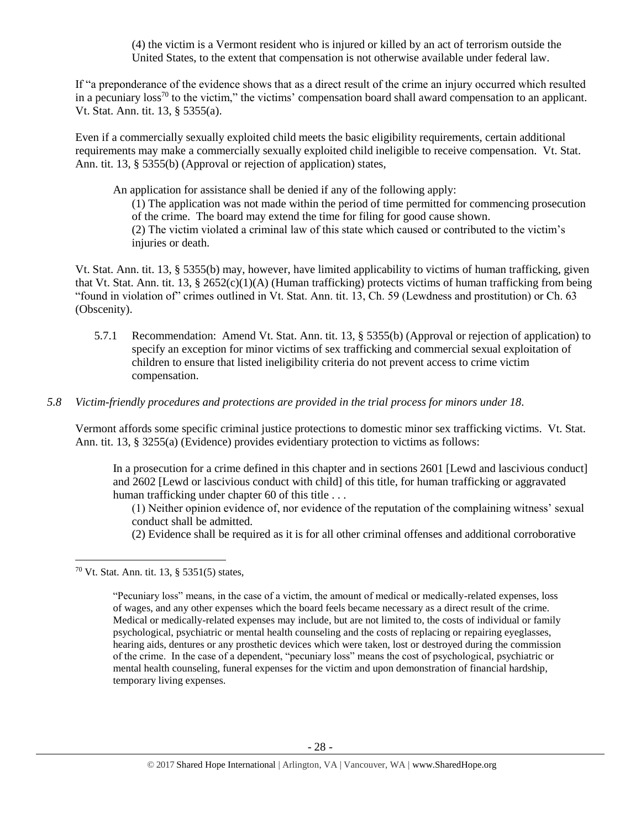(4) the victim is a Vermont resident who is injured or killed by an act of terrorism outside the United States, to the extent that compensation is not otherwise available under federal law.

If "a preponderance of the evidence shows that as a direct result of the crime an injury occurred which resulted in a pecuniary loss<sup>70</sup> to the victim," the victims' compensation board shall award compensation to an applicant. Vt. Stat. Ann. tit. 13, § 5355(a).

Even if a commercially sexually exploited child meets the basic eligibility requirements, certain additional requirements may make a commercially sexually exploited child ineligible to receive compensation. Vt. Stat. Ann. tit. 13, § 5355(b) (Approval or rejection of application) states,

An application for assistance shall be denied if any of the following apply:

(1) The application was not made within the period of time permitted for commencing prosecution of the crime. The board may extend the time for filing for good cause shown. (2) The victim violated a criminal law of this state which caused or contributed to the victim's injuries or death.

Vt. Stat. Ann. tit. 13, § 5355(b) may, however, have limited applicability to victims of human trafficking, given that Vt. Stat. Ann. tit. 13, § 2652(c)(1)(A) (Human trafficking) protects victims of human trafficking from being "found in violation of" crimes outlined in Vt. Stat. Ann. tit. 13, Ch. 59 (Lewdness and prostitution) or Ch. 63 (Obscenity).

- 5.7.1 Recommendation: Amend Vt. Stat. Ann. tit. 13, § 5355(b) (Approval or rejection of application) to specify an exception for minor victims of sex trafficking and commercial sexual exploitation of children to ensure that listed ineligibility criteria do not prevent access to crime victim compensation.
- *5.8 Victim-friendly procedures and protections are provided in the trial process for minors under 18.*

Vermont affords some specific criminal justice protections to domestic minor sex trafficking victims. Vt. Stat. Ann. tit. 13, § 3255(a) (Evidence) provides evidentiary protection to victims as follows:

In a prosecution for a crime defined in this chapter and in sections 2601 [Lewd and lascivious conduct] and 2602 [Lewd or lascivious conduct with child] of this title, for human trafficking or aggravated human trafficking under chapter 60 of this title ...

(1) Neither opinion evidence of, nor evidence of the reputation of the complaining witness' sexual conduct shall be admitted.

(2) Evidence shall be required as it is for all other criminal offenses and additional corroborative

<sup>70</sup> Vt. Stat. Ann. tit. 13, § 5351(5) states,

<sup>&</sup>quot;Pecuniary loss" means, in the case of a victim, the amount of medical or medically-related expenses, loss of wages, and any other expenses which the board feels became necessary as a direct result of the crime. Medical or medically-related expenses may include, but are not limited to, the costs of individual or family psychological, psychiatric or mental health counseling and the costs of replacing or repairing eyeglasses, hearing aids, dentures or any prosthetic devices which were taken, lost or destroyed during the commission of the crime. In the case of a dependent, "pecuniary loss" means the cost of psychological, psychiatric or mental health counseling, funeral expenses for the victim and upon demonstration of financial hardship, temporary living expenses.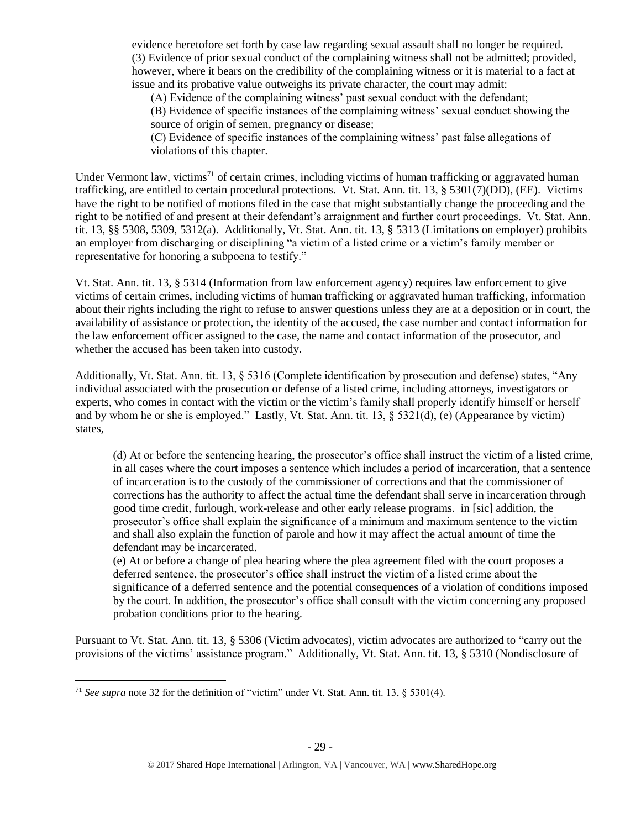evidence heretofore set forth by case law regarding sexual assault shall no longer be required. (3) Evidence of prior sexual conduct of the complaining witness shall not be admitted; provided, however, where it bears on the credibility of the complaining witness or it is material to a fact at issue and its probative value outweighs its private character, the court may admit:

(A) Evidence of the complaining witness' past sexual conduct with the defendant;

(B) Evidence of specific instances of the complaining witness' sexual conduct showing the source of origin of semen, pregnancy or disease;

(C) Evidence of specific instances of the complaining witness' past false allegations of violations of this chapter.

Under Vermont law, victims<sup>71</sup> of certain crimes, including victims of human trafficking or aggravated human trafficking, are entitled to certain procedural protections. Vt. Stat. Ann. tit. 13, § 5301(7)(DD), (EE). Victims have the right to be notified of motions filed in the case that might substantially change the proceeding and the right to be notified of and present at their defendant's arraignment and further court proceedings. Vt. Stat. Ann. tit. 13, §§ 5308, 5309, 5312(a). Additionally, Vt. Stat. Ann. tit. 13, § 5313 (Limitations on employer) prohibits an employer from discharging or disciplining "a victim of a listed crime or a victim's family member or representative for honoring a subpoena to testify."

Vt. Stat. Ann. tit. 13, § 5314 (Information from law enforcement agency) requires law enforcement to give victims of certain crimes, including victims of human trafficking or aggravated human trafficking, information about their rights including the right to refuse to answer questions unless they are at a deposition or in court, the availability of assistance or protection, the identity of the accused, the case number and contact information for the law enforcement officer assigned to the case, the name and contact information of the prosecutor, and whether the accused has been taken into custody.

Additionally, Vt. Stat. Ann. tit. 13, § 5316 (Complete identification by prosecution and defense) states, "Any individual associated with the prosecution or defense of a listed crime, including attorneys, investigators or experts, who comes in contact with the victim or the victim's family shall properly identify himself or herself and by whom he or she is employed." Lastly, Vt. Stat. Ann. tit. 13, § 5321(d), (e) (Appearance by victim) states,

(d) At or before the sentencing hearing, the prosecutor's office shall instruct the victim of a listed crime, in all cases where the court imposes a sentence which includes a period of incarceration, that a sentence of incarceration is to the custody of the commissioner of corrections and that the commissioner of corrections has the authority to affect the actual time the defendant shall serve in incarceration through good time credit, furlough, work-release and other early release programs. in [sic] addition, the prosecutor's office shall explain the significance of a minimum and maximum sentence to the victim and shall also explain the function of parole and how it may affect the actual amount of time the defendant may be incarcerated.

(e) At or before a change of plea hearing where the plea agreement filed with the court proposes a deferred sentence, the prosecutor's office shall instruct the victim of a listed crime about the significance of a deferred sentence and the potential consequences of a violation of conditions imposed by the court. In addition, the prosecutor's office shall consult with the victim concerning any proposed probation conditions prior to the hearing.

Pursuant to Vt. Stat. Ann. tit. 13, § 5306 (Victim advocates), victim advocates are authorized to "carry out the provisions of the victims' assistance program." Additionally, Vt. Stat. Ann. tit. 13, § 5310 (Nondisclosure of

 $\overline{a}$ <sup>71</sup> *See supra* note [32](#page-10-0) for the definition of "victim" under Vt. Stat. Ann. tit. 13,  $\S$  5301(4).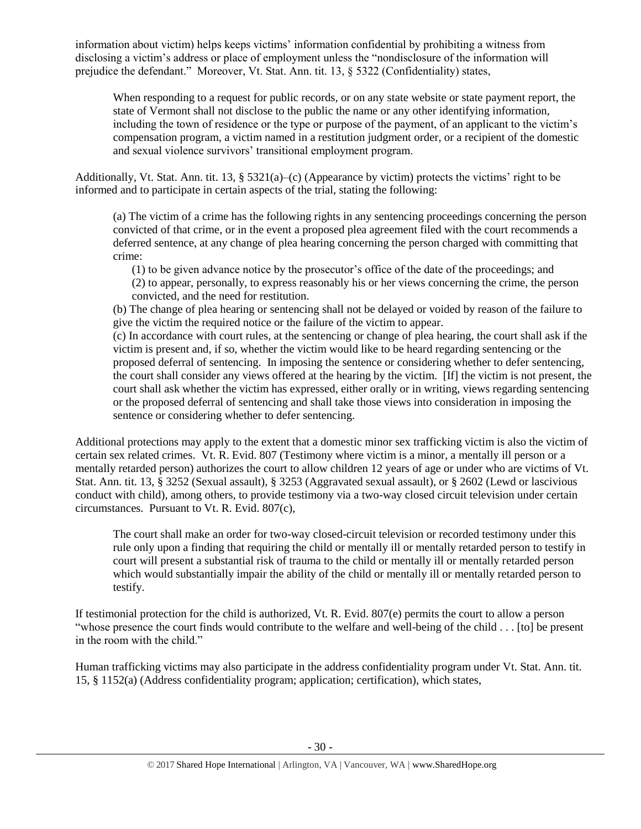information about victim) helps keeps victims' information confidential by prohibiting a witness from disclosing a victim's address or place of employment unless the "nondisclosure of the information will prejudice the defendant." Moreover, Vt. Stat. Ann. tit. 13, § 5322 (Confidentiality) states,

When responding to a request for public records, or on any state website or state payment report, the state of Vermont shall not disclose to the public the name or any other identifying information, including the town of residence or the type or purpose of the payment, of an applicant to the victim's compensation program, a victim named in a restitution judgment order, or a recipient of the domestic and sexual violence survivors' transitional employment program.

Additionally, Vt. Stat. Ann. tit. 13, §  $5321(a)$ –(c) (Appearance by victim) protects the victims' right to be informed and to participate in certain aspects of the trial, stating the following:

(a) The victim of a crime has the following rights in any sentencing proceedings concerning the person convicted of that crime, or in the event a proposed plea agreement filed with the court recommends a deferred sentence, at any change of plea hearing concerning the person charged with committing that crime:

(1) to be given advance notice by the prosecutor's office of the date of the proceedings; and (2) to appear, personally, to express reasonably his or her views concerning the crime, the person convicted, and the need for restitution.

(b) The change of plea hearing or sentencing shall not be delayed or voided by reason of the failure to give the victim the required notice or the failure of the victim to appear.

(c) In accordance with court rules, at the sentencing or change of plea hearing, the court shall ask if the victim is present and, if so, whether the victim would like to be heard regarding sentencing or the proposed deferral of sentencing. In imposing the sentence or considering whether to defer sentencing, the court shall consider any views offered at the hearing by the victim. [If] the victim is not present, the court shall ask whether the victim has expressed, either orally or in writing, views regarding sentencing or the proposed deferral of sentencing and shall take those views into consideration in imposing the sentence or considering whether to defer sentencing.

Additional protections may apply to the extent that a domestic minor sex trafficking victim is also the victim of certain sex related crimes. Vt. R. Evid. 807 (Testimony where victim is a minor, a mentally ill person or a mentally retarded person) authorizes the court to allow children 12 years of age or under who are victims of Vt. Stat. Ann. tit. 13, § 3252 (Sexual assault), § 3253 (Aggravated sexual assault), or § 2602 (Lewd or lascivious conduct with child), among others, to provide testimony via a two-way closed circuit television under certain circumstances. Pursuant to Vt. R. Evid. 807(c),

The court shall make an order for two-way closed-circuit television or recorded testimony under this rule only upon a finding that requiring the child or mentally ill or mentally retarded person to testify in court will present a substantial risk of trauma to the child or mentally ill or mentally retarded person which would substantially impair the ability of the child or mentally ill or mentally retarded person to testify.

If testimonial protection for the child is authorized, Vt. R. Evid. 807(e) permits the court to allow a person "whose presence the court finds would contribute to the welfare and well-being of the child . . . [to] be present in the room with the child."

Human trafficking victims may also participate in the address confidentiality program under Vt. Stat. Ann. tit. 15, § 1152(a) (Address confidentiality program; application; certification), which states,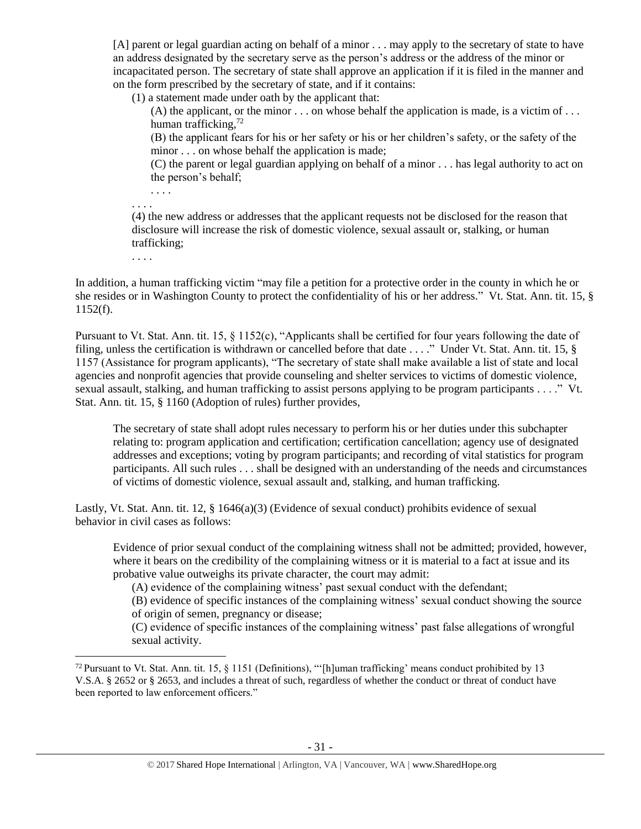[A] parent or legal guardian acting on behalf of a minor . . . may apply to the secretary of state to have an address designated by the secretary serve as the person's address or the address of the minor or incapacitated person. The secretary of state shall approve an application if it is filed in the manner and on the form prescribed by the secretary of state, and if it contains:

(1) a statement made under oath by the applicant that:

(A) the applicant, or the minor  $\ldots$  on whose behalf the application is made, is a victim of  $\ldots$ human trafficking,<sup>72</sup>

(B) the applicant fears for his or her safety or his or her children's safety, or the safety of the minor . . . on whose behalf the application is made;

(C) the parent or legal guardian applying on behalf of a minor . . . has legal authority to act on the person's behalf;

. . . .

(4) the new address or addresses that the applicant requests not be disclosed for the reason that disclosure will increase the risk of domestic violence, sexual assault or, stalking, or human trafficking;

. . . .

 $\overline{a}$ 

. . . .

In addition, a human trafficking victim "may file a petition for a protective order in the county in which he or she resides or in Washington County to protect the confidentiality of his or her address." Vt. Stat. Ann. tit. 15, § 1152(f).

Pursuant to Vt. Stat. Ann. tit. 15, § 1152(c), "Applicants shall be certified for four years following the date of filing, unless the certification is withdrawn or cancelled before that date . . . ." Under Vt. Stat. Ann. tit. 15, § 1157 (Assistance for program applicants), "The secretary of state shall make available a list of state and local agencies and nonprofit agencies that provide counseling and shelter services to victims of domestic violence, sexual assault, stalking, and human trafficking to assist persons applying to be program participants . . . ." Vt. Stat. Ann. tit. 15, § 1160 (Adoption of rules) further provides,

The secretary of state shall adopt rules necessary to perform his or her duties under this subchapter relating to: program application and certification; certification cancellation; agency use of designated addresses and exceptions; voting by program participants; and recording of vital statistics for program participants. All such rules . . . shall be designed with an understanding of the needs and circumstances of victims of domestic violence, sexual assault and, stalking, and human trafficking.

Lastly, Vt. Stat. Ann. tit. 12, § 1646(a)(3) (Evidence of sexual conduct) prohibits evidence of sexual behavior in civil cases as follows:

Evidence of prior sexual conduct of the complaining witness shall not be admitted; provided, however, where it bears on the credibility of the complaining witness or it is material to a fact at issue and its probative value outweighs its private character, the court may admit:

(A) evidence of the complaining witness' past sexual conduct with the defendant;

(B) evidence of specific instances of the complaining witness' sexual conduct showing the source of origin of semen, pregnancy or disease;

(C) evidence of specific instances of the complaining witness' past false allegations of wrongful sexual activity.

<sup>&</sup>lt;sup>72</sup> Pursuant to Vt. Stat. Ann. tit. 15,  $\S$  1151 (Definitions), "[h]uman trafficking' means conduct prohibited by 13 V.S.A. § 2652 or § 2653, and includes a threat of such, regardless of whether the conduct or threat of conduct have been reported to law enforcement officers."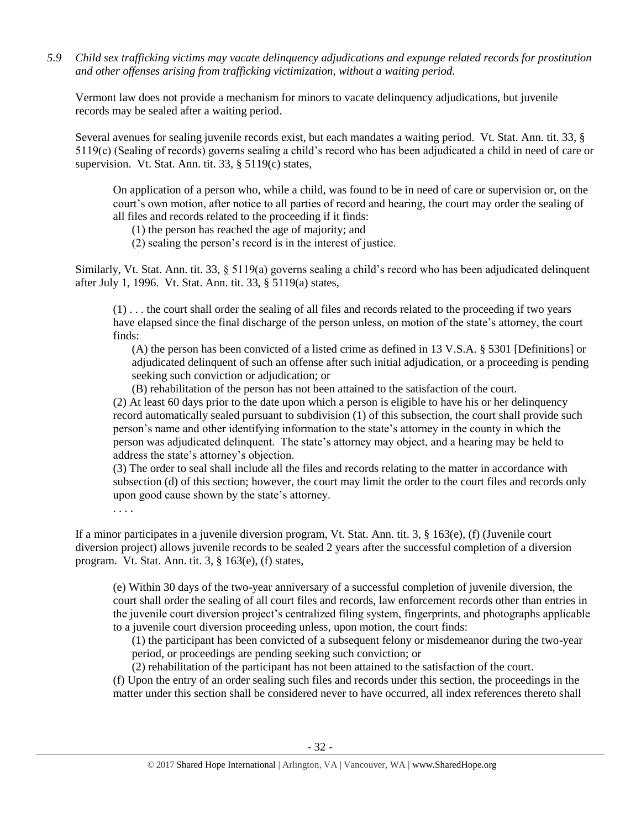*5.9 Child sex trafficking victims may vacate delinquency adjudications and expunge related records for prostitution and other offenses arising from trafficking victimization, without a waiting period.*

Vermont law does not provide a mechanism for minors to vacate delinquency adjudications, but juvenile records may be sealed after a waiting period.

Several avenues for sealing juvenile records exist, but each mandates a waiting period. Vt. Stat. Ann. tit. 33, § 5119(c) (Sealing of records) governs sealing a child's record who has been adjudicated a child in need of care or supervision. Vt. Stat. Ann. tit. 33, § 5119(c) states,

On application of a person who, while a child, was found to be in need of care or supervision or, on the court's own motion, after notice to all parties of record and hearing, the court may order the sealing of all files and records related to the proceeding if it finds:

(1) the person has reached the age of majority; and

(2) sealing the person's record is in the interest of justice.

Similarly, Vt. Stat. Ann. tit. 33, § 5119(a) governs sealing a child's record who has been adjudicated delinquent after July 1, 1996. Vt. Stat. Ann. tit. 33, § 5119(a) states,

(1) . . . the court shall order the sealing of all files and records related to the proceeding if two years have elapsed since the final discharge of the person unless, on motion of the state's attorney, the court finds:

(A) the person has been convicted of a listed crime as defined in 13 V.S.A. § 5301 [Definitions] or adjudicated delinquent of such an offense after such initial adjudication, or a proceeding is pending seeking such conviction or adjudication; or

(B) rehabilitation of the person has not been attained to the satisfaction of the court.

(2) At least 60 days prior to the date upon which a person is eligible to have his or her delinquency record automatically sealed pursuant to subdivision (1) of this subsection, the court shall provide such person's name and other identifying information to the state's attorney in the county in which the person was adjudicated delinquent. The state's attorney may object, and a hearing may be held to address the state's attorney's objection.

(3) The order to seal shall include all the files and records relating to the matter in accordance with subsection (d) of this section; however, the court may limit the order to the court files and records only upon good cause shown by the state's attorney.

. . . .

If a minor participates in a juvenile diversion program, Vt. Stat. Ann. tit. 3, § 163(e), (f) (Juvenile court diversion project) allows juvenile records to be sealed 2 years after the successful completion of a diversion program. Vt. Stat. Ann. tit. 3, § 163(e), (f) states,

(e) Within 30 days of the two-year anniversary of a successful completion of juvenile diversion, the court shall order the sealing of all court files and records, law enforcement records other than entries in the juvenile court diversion project's centralized filing system, fingerprints, and photographs applicable to a juvenile court diversion proceeding unless, upon motion, the court finds:

(1) the participant has been convicted of a subsequent felony or misdemeanor during the two-year period, or proceedings are pending seeking such conviction; or

(2) rehabilitation of the participant has not been attained to the satisfaction of the court.

(f) Upon the entry of an order sealing such files and records under this section, the proceedings in the matter under this section shall be considered never to have occurred, all index references thereto shall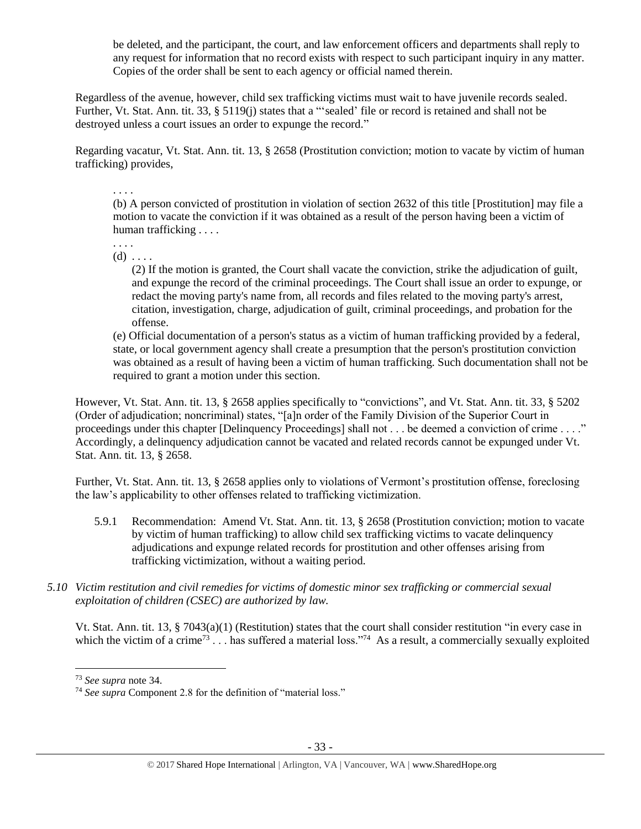be deleted, and the participant, the court, and law enforcement officers and departments shall reply to any request for information that no record exists with respect to such participant inquiry in any matter. Copies of the order shall be sent to each agency or official named therein.

Regardless of the avenue, however, child sex trafficking victims must wait to have juvenile records sealed. Further, Vt. Stat. Ann. tit. 33, § 5119(j) states that a "'sealed' file or record is retained and shall not be destroyed unless a court issues an order to expunge the record."

Regarding vacatur, Vt. Stat. Ann. tit. 13, § 2658 (Prostitution conviction; motion to vacate by victim of human trafficking) provides,

. . . .

(b) A person convicted of prostitution in violation of section 2632 of this title [Prostitution] may file a motion to vacate the conviction if it was obtained as a result of the person having been a victim of human trafficking . . . .

. . . .  $(d) \ldots$ 

> (2) If the motion is granted, the Court shall vacate the conviction, strike the adjudication of guilt, and expunge the record of the criminal proceedings. The Court shall issue an order to expunge, or redact the moving party's name from, all records and files related to the moving party's arrest, citation, investigation, charge, adjudication of guilt, criminal proceedings, and probation for the offense.

(e) Official documentation of a person's status as a victim of human trafficking provided by a federal, state, or local government agency shall create a presumption that the person's prostitution conviction was obtained as a result of having been a victim of human trafficking. Such documentation shall not be required to grant a motion under this section.

However, Vt. Stat. Ann. tit. 13, § 2658 applies specifically to "convictions", and Vt. Stat. Ann. tit. 33, § 5202 (Order of adjudication; noncriminal) states, "[a]n order of the Family Division of the Superior Court in proceedings under this chapter [Delinquency Proceedings] shall not . . . be deemed a conviction of crime . . . ." Accordingly, a delinquency adjudication cannot be vacated and related records cannot be expunged under Vt. Stat. Ann. tit. 13, § 2658.

Further, Vt. Stat. Ann. tit. 13, § 2658 applies only to violations of Vermont's prostitution offense, foreclosing the law's applicability to other offenses related to trafficking victimization.

- 5.9.1 Recommendation: Amend Vt. Stat. Ann. tit. 13, § 2658 (Prostitution conviction; motion to vacate by victim of human trafficking) to allow child sex trafficking victims to vacate delinquency adjudications and expunge related records for prostitution and other offenses arising from trafficking victimization, without a waiting period.
- *5.10 Victim restitution and civil remedies for victims of domestic minor sex trafficking or commercial sexual exploitation of children (CSEC) are authorized by law.*

Vt. Stat. Ann. tit. 13, § 7043(a)(1) (Restitution) states that the court shall consider restitution "in every case in which the victim of a crime<sup>73</sup>... has suffered a material loss."<sup>74</sup> As a result, a commercially sexually exploited

<sup>73</sup> *See supra* note [34.](#page-10-1) 

<sup>74</sup> *See supra* Component 2.8 for the definition of "material loss."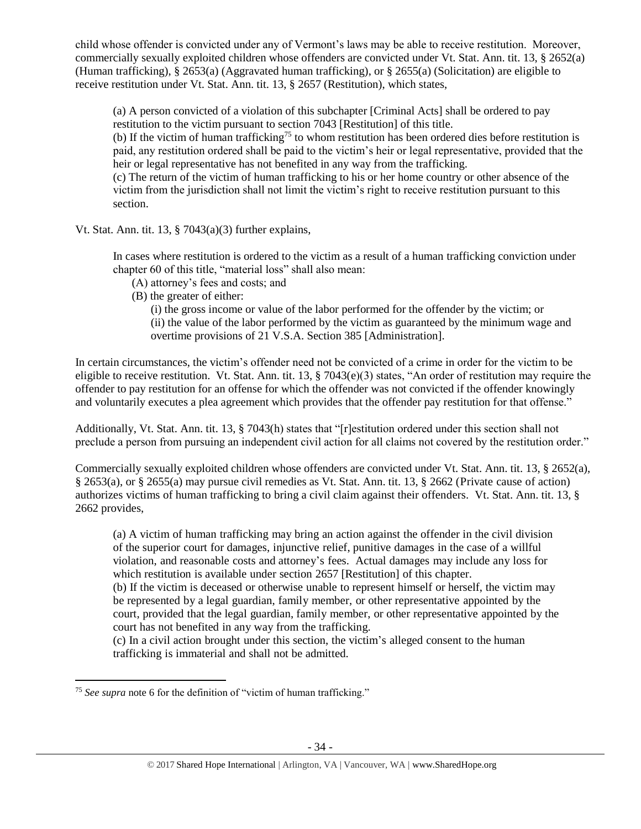child whose offender is convicted under any of Vermont's laws may be able to receive restitution. Moreover, commercially sexually exploited children whose offenders are convicted under Vt. Stat. Ann. tit. 13, § 2652(a) (Human trafficking), § 2653(a) (Aggravated human trafficking), or § 2655(a) (Solicitation) are eligible to receive restitution under Vt. Stat. Ann. tit. 13, § 2657 (Restitution), which states,

(a) A person convicted of a violation of this subchapter [Criminal Acts] shall be ordered to pay restitution to the victim pursuant to section 7043 [Restitution] of this title.

(b) If the victim of human trafficking<sup>75</sup> to whom restitution has been ordered dies before restitution is paid, any restitution ordered shall be paid to the victim's heir or legal representative, provided that the heir or legal representative has not benefited in any way from the trafficking.

(c) The return of the victim of human trafficking to his or her home country or other absence of the victim from the jurisdiction shall not limit the victim's right to receive restitution pursuant to this section.

Vt. Stat. Ann. tit. 13, § 7043(a)(3) further explains,

In cases where restitution is ordered to the victim as a result of a human trafficking conviction under chapter 60 of this title, "material loss" shall also mean:

- (A) attorney's fees and costs; and
- (B) the greater of either:

(i) the gross income or value of the labor performed for the offender by the victim; or (ii) the value of the labor performed by the victim as guaranteed by the minimum wage and overtime provisions of 21 V.S.A. Section 385 [Administration].

In certain circumstances, the victim's offender need not be convicted of a crime in order for the victim to be eligible to receive restitution. Vt. Stat. Ann. tit. 13, § 7043(e)(3) states, "An order of restitution may require the offender to pay restitution for an offense for which the offender was not convicted if the offender knowingly and voluntarily executes a plea agreement which provides that the offender pay restitution for that offense."

Additionally, Vt. Stat. Ann. tit. 13, § 7043(h) states that "[r]estitution ordered under this section shall not preclude a person from pursuing an independent civil action for all claims not covered by the restitution order."

Commercially sexually exploited children whose offenders are convicted under Vt. Stat. Ann. tit. 13, § 2652(a), § 2653(a), or § 2655(a) may pursue civil remedies as Vt. Stat. Ann. tit. 13, § 2662 (Private cause of action) authorizes victims of human trafficking to bring a civil claim against their offenders. Vt. Stat. Ann. tit. 13, § 2662 provides,

(a) A victim of human trafficking may bring an action against the offender in the civil division of the superior court for damages, injunctive relief, punitive damages in the case of a willful violation, and reasonable costs and attorney's fees. Actual damages may include any loss for which restitution is available under section 2657 [Restitution] of this chapter.

(b) If the victim is deceased or otherwise unable to represent himself or herself, the victim may be represented by a legal guardian, family member, or other representative appointed by the court, provided that the legal guardian, family member, or other representative appointed by the court has not benefited in any way from the trafficking.

(c) In a civil action brought under this section, the victim's alleged consent to the human trafficking is immaterial and shall not be admitted.

 $\overline{a}$ <sup>75</sup> *See supra* note [6](#page-1-0) for the definition of "victim of human trafficking."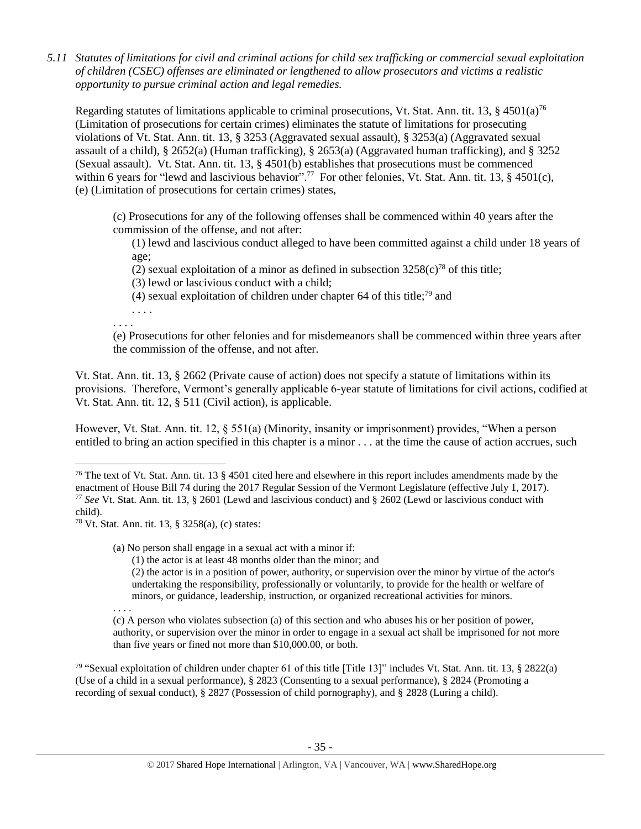*5.11 Statutes of limitations for civil and criminal actions for child sex trafficking or commercial sexual exploitation of children (CSEC) offenses are eliminated or lengthened to allow prosecutors and victims a realistic opportunity to pursue criminal action and legal remedies.*

Regarding statutes of limitations applicable to criminal prosecutions, Vt. Stat. Ann. tit. 13,  $\S$  4501(a)<sup>76</sup> (Limitation of prosecutions for certain crimes) eliminates the statute of limitations for prosecuting violations of Vt. Stat. Ann. tit. 13, § 3253 (Aggravated sexual assault), § 3253(a) (Aggravated sexual assault of a child), § 2652(a) (Human trafficking), § 2653(a) (Aggravated human trafficking), and § 3252 (Sexual assault). Vt. Stat. Ann. tit. 13, § 4501(b) establishes that prosecutions must be commenced within 6 years for "lewd and lascivious behavior".<sup>77</sup> For other felonies, Vt. Stat. Ann. tit. 13, § 4501(c), (e) (Limitation of prosecutions for certain crimes) states,

(c) Prosecutions for any of the following offenses shall be commenced within 40 years after the commission of the offense, and not after:

(1) lewd and lascivious conduct alleged to have been committed against a child under 18 years of age;

(2) sexual exploitation of a minor as defined in subsection  $3258(c)^{78}$  of this title;

(3) lewd or lascivious conduct with a child;

(4) sexual exploitation of children under chapter 64 of this title;<sup>79</sup> and

. . . . . . . .

(e) Prosecutions for other felonies and for misdemeanors shall be commenced within three years after the commission of the offense, and not after.

Vt. Stat. Ann. tit. 13, § 2662 (Private cause of action) does not specify a statute of limitations within its provisions. Therefore, Vermont's generally applicable 6-year statute of limitations for civil actions, codified at Vt. Stat. Ann. tit. 12, § 511 (Civil action), is applicable.

However, Vt. Stat. Ann. tit. 12, § 551(a) (Minority, insanity or imprisonment) provides, "When a person entitled to bring an action specified in this chapter is a minor . . . at the time the cause of action accrues, such

(1) the actor is at least 48 months older than the minor; and

(2) the actor is in a position of power, authority, or supervision over the minor by virtue of the actor's undertaking the responsibility, professionally or voluntarily, to provide for the health or welfare of minors, or guidance, leadership, instruction, or organized recreational activities for minors.

. . . .

l

<sup>79</sup> "Sexual exploitation of children under chapter 61 of this title [Title 13]" includes Vt. Stat. Ann. tit. 13, § 2822(a) (Use of a child in a sexual performance), § 2823 (Consenting to a sexual performance), § 2824 (Promoting a recording of sexual conduct), § 2827 (Possession of child pornography), and § 2828 (Luring a child).

<sup>&</sup>lt;sup>76</sup> The text of Vt. Stat. Ann. tit. 13  $\S 4501$  cited here and elsewhere in this report includes amendments made by the enactment of House Bill 74 during the 2017 Regular Session of the Vermont Legislature (effective July 1, 2017). <sup>77</sup> *See* Vt. Stat. Ann. tit. 13, § 2601 (Lewd and lascivious conduct) and § 2602 (Lewd or lascivious conduct with child).

<sup>78</sup> Vt. Stat. Ann. tit. 13, § 3258(a), (c) states:

<sup>(</sup>a) No person shall engage in a sexual act with a minor if:

<sup>(</sup>c) A person who violates subsection (a) of this section and who abuses his or her position of power, authority, or supervision over the minor in order to engage in a sexual act shall be imprisoned for not more than five years or fined not more than \$10,000.00, or both.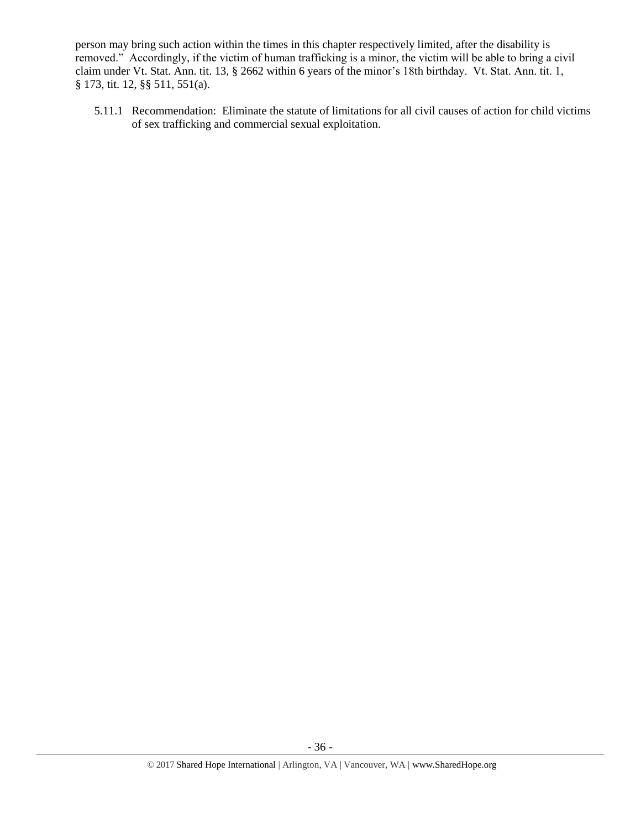person may bring such action within the times in this chapter respectively limited, after the disability is removed." Accordingly, if the victim of human trafficking is a minor, the victim will be able to bring a civil claim under Vt. Stat. Ann. tit. 13, § 2662 within 6 years of the minor's 18th birthday. Vt. Stat. Ann. tit. 1, § 173, tit. 12, §§ 511, 551(a).

5.11.1 Recommendation: Eliminate the statute of limitations for all civil causes of action for child victims of sex trafficking and commercial sexual exploitation.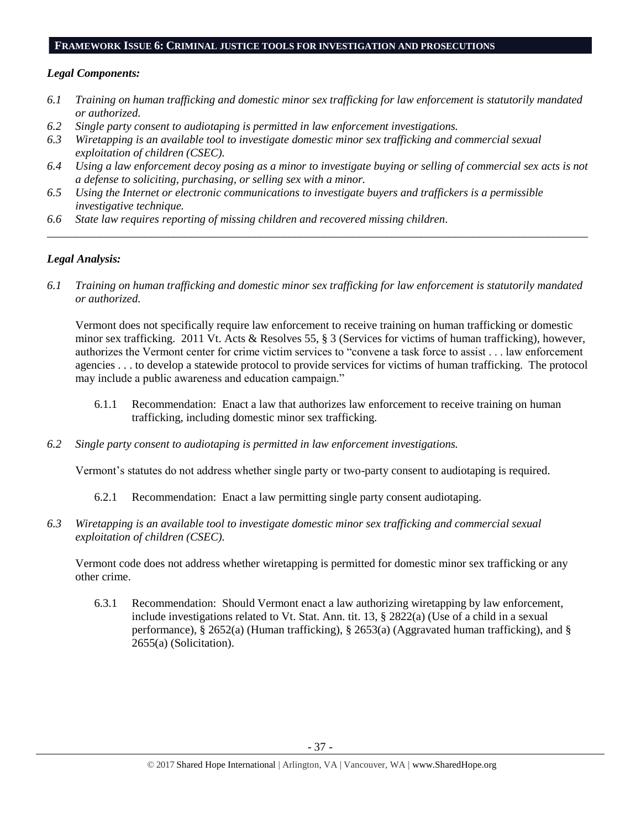#### **FRAMEWORK ISSUE 6: CRIMINAL JUSTICE TOOLS FOR INVESTIGATION AND PROSECUTIONS**

#### *Legal Components:*

- *6.1 Training on human trafficking and domestic minor sex trafficking for law enforcement is statutorily mandated or authorized.*
- *6.2 Single party consent to audiotaping is permitted in law enforcement investigations.*
- *6.3 Wiretapping is an available tool to investigate domestic minor sex trafficking and commercial sexual exploitation of children (CSEC).*
- *6.4 Using a law enforcement decoy posing as a minor to investigate buying or selling of commercial sex acts is not a defense to soliciting, purchasing, or selling sex with a minor.*

*\_\_\_\_\_\_\_\_\_\_\_\_\_\_\_\_\_\_\_\_\_\_\_\_\_\_\_\_\_\_\_\_\_\_\_\_\_\_\_\_\_\_\_\_\_\_\_\_\_\_\_\_\_\_\_\_\_\_\_\_\_\_\_\_\_\_\_\_\_\_\_\_\_\_\_\_\_\_\_\_\_\_\_\_\_\_\_\_\_\_\_\_\_\_*

- *6.5 Using the Internet or electronic communications to investigate buyers and traffickers is a permissible investigative technique.*
- *6.6 State law requires reporting of missing children and recovered missing children.*

# *Legal Analysis:*

*6.1 Training on human trafficking and domestic minor sex trafficking for law enforcement is statutorily mandated or authorized.*

Vermont does not specifically require law enforcement to receive training on human trafficking or domestic minor sex trafficking. 2011 Vt. Acts & Resolves 55, § 3 (Services for victims of human trafficking), however, authorizes the Vermont center for crime victim services to "convene a task force to assist . . . law enforcement agencies . . . to develop a statewide protocol to provide services for victims of human trafficking. The protocol may include a public awareness and education campaign."

- 6.1.1 Recommendation: Enact a law that authorizes law enforcement to receive training on human trafficking, including domestic minor sex trafficking.
- *6.2 Single party consent to audiotaping is permitted in law enforcement investigations.*

Vermont's statutes do not address whether single party or two-party consent to audiotaping is required.

- 6.2.1 Recommendation: Enact a law permitting single party consent audiotaping.
- *6.3 Wiretapping is an available tool to investigate domestic minor sex trafficking and commercial sexual exploitation of children (CSEC).*

Vermont code does not address whether wiretapping is permitted for domestic minor sex trafficking or any other crime.

6.3.1 Recommendation: Should Vermont enact a law authorizing wiretapping by law enforcement, include investigations related to Vt. Stat. Ann. tit. 13, § 2822(a) (Use of a child in a sexual performance),  $\S 2652(a)$  (Human trafficking),  $\S 2653(a)$  (Aggravated human trafficking), and  $\S$ 2655(a) (Solicitation).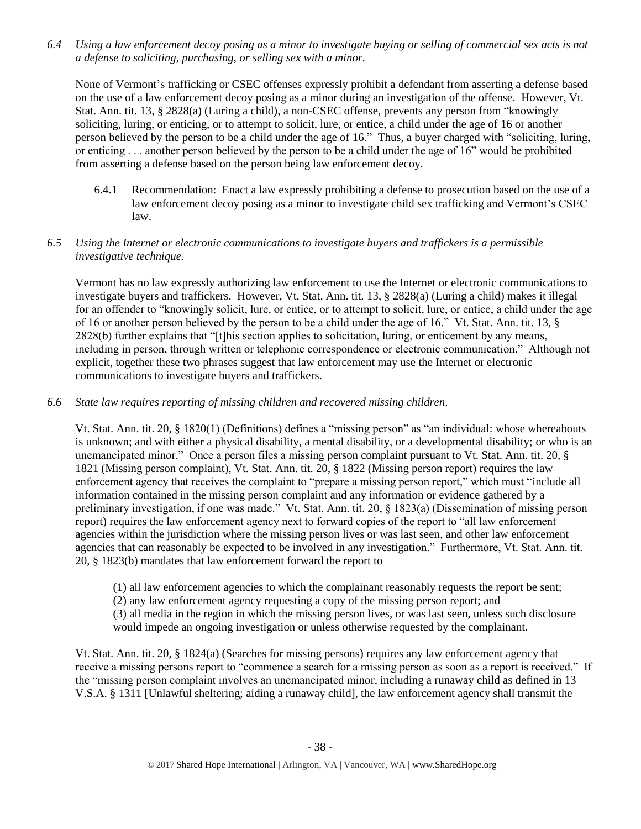*6.4 Using a law enforcement decoy posing as a minor to investigate buying or selling of commercial sex acts is not a defense to soliciting, purchasing, or selling sex with a minor.*

None of Vermont's trafficking or CSEC offenses expressly prohibit a defendant from asserting a defense based on the use of a law enforcement decoy posing as a minor during an investigation of the offense. However, Vt. Stat. Ann. tit. 13, § 2828(a) (Luring a child), a non-CSEC offense, prevents any person from "knowingly soliciting, luring, or enticing, or to attempt to solicit, lure, or entice, a child under the age of 16 or another person believed by the person to be a child under the age of 16." Thus, a buyer charged with "soliciting, luring, or enticing . . . another person believed by the person to be a child under the age of 16" would be prohibited from asserting a defense based on the person being law enforcement decoy.

6.4.1 Recommendation: Enact a law expressly prohibiting a defense to prosecution based on the use of a law enforcement decoy posing as a minor to investigate child sex trafficking and Vermont's CSEC law.

# *6.5 Using the Internet or electronic communications to investigate buyers and traffickers is a permissible investigative technique.*

Vermont has no law expressly authorizing law enforcement to use the Internet or electronic communications to investigate buyers and traffickers. However, Vt. Stat. Ann. tit. 13, § 2828(a) (Luring a child) makes it illegal for an offender to "knowingly solicit, lure, or entice, or to attempt to solicit, lure, or entice, a child under the age of 16 or another person believed by the person to be a child under the age of 16." Vt. Stat. Ann. tit. 13, § 2828(b) further explains that "[t]his section applies to solicitation, luring, or enticement by any means, including in person, through written or telephonic correspondence or electronic communication." Although not explicit, together these two phrases suggest that law enforcement may use the Internet or electronic communications to investigate buyers and traffickers.

# *6.6 State law requires reporting of missing children and recovered missing children.*

Vt. Stat. Ann. tit. 20, § 1820(1) (Definitions) defines a "missing person" as "an individual: whose whereabouts is unknown; and with either a physical disability, a mental disability, or a developmental disability; or who is an unemancipated minor." Once a person files a missing person complaint pursuant to Vt. Stat. Ann. tit. 20, § 1821 (Missing person complaint), Vt. Stat. Ann. tit. 20, § 1822 (Missing person report) requires the law enforcement agency that receives the complaint to "prepare a missing person report," which must "include all information contained in the missing person complaint and any information or evidence gathered by a preliminary investigation, if one was made." Vt. Stat. Ann. tit. 20, § 1823(a) (Dissemination of missing person report) requires the law enforcement agency next to forward copies of the report to "all law enforcement agencies within the jurisdiction where the missing person lives or was last seen, and other law enforcement agencies that can reasonably be expected to be involved in any investigation." Furthermore, Vt. Stat. Ann. tit. 20, § 1823(b) mandates that law enforcement forward the report to

(1) all law enforcement agencies to which the complainant reasonably requests the report be sent;

(2) any law enforcement agency requesting a copy of the missing person report; and

(3) all media in the region in which the missing person lives, or was last seen, unless such disclosure would impede an ongoing investigation or unless otherwise requested by the complainant.

Vt. Stat. Ann. tit. 20, § 1824(a) (Searches for missing persons) requires any law enforcement agency that receive a missing persons report to "commence a search for a missing person as soon as a report is received." If the "missing person complaint involves an unemancipated minor, including a runaway child as defined in 13 V.S.A. § 1311 [Unlawful sheltering; aiding a runaway child], the law enforcement agency shall transmit the